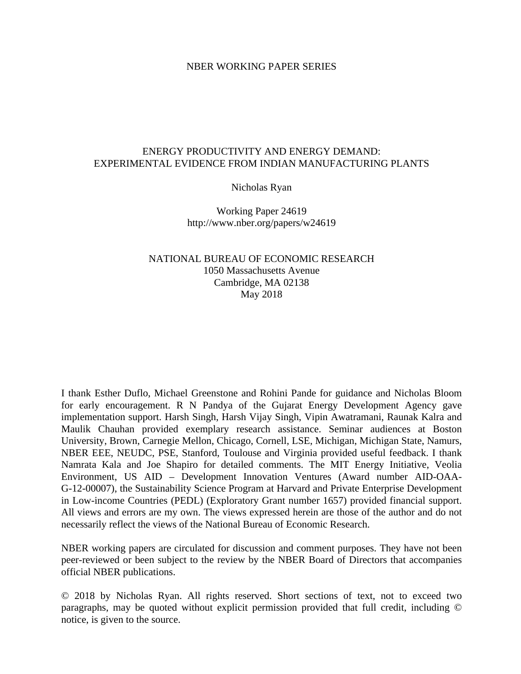#### NBER WORKING PAPER SERIES

## ENERGY PRODUCTIVITY AND ENERGY DEMAND: EXPERIMENTAL EVIDENCE FROM INDIAN MANUFACTURING PLANTS

#### Nicholas Ryan

Working Paper 24619 http://www.nber.org/papers/w24619

## NATIONAL BUREAU OF ECONOMIC RESEARCH 1050 Massachusetts Avenue Cambridge, MA 02138 May 2018

I thank Esther Duflo, Michael Greenstone and Rohini Pande for guidance and Nicholas Bloom for early encouragement. R N Pandya of the Gujarat Energy Development Agency gave implementation support. Harsh Singh, Harsh Vijay Singh, Vipin Awatramani, Raunak Kalra and Maulik Chauhan provided exemplary research assistance. Seminar audiences at Boston University, Brown, Carnegie Mellon, Chicago, Cornell, LSE, Michigan, Michigan State, Namurs, NBER EEE, NEUDC, PSE, Stanford, Toulouse and Virginia provided useful feedback. I thank Namrata Kala and Joe Shapiro for detailed comments. The MIT Energy Initiative, Veolia Environment, US AID – Development Innovation Ventures (Award number AID-OAA-G-12-00007), the Sustainability Science Program at Harvard and Private Enterprise Development in Low-income Countries (PEDL) (Exploratory Grant number 1657) provided financial support. All views and errors are my own. The views expressed herein are those of the author and do not necessarily reflect the views of the National Bureau of Economic Research.

NBER working papers are circulated for discussion and comment purposes. They have not been peer-reviewed or been subject to the review by the NBER Board of Directors that accompanies official NBER publications.

© 2018 by Nicholas Ryan. All rights reserved. Short sections of text, not to exceed two paragraphs, may be quoted without explicit permission provided that full credit, including © notice, is given to the source.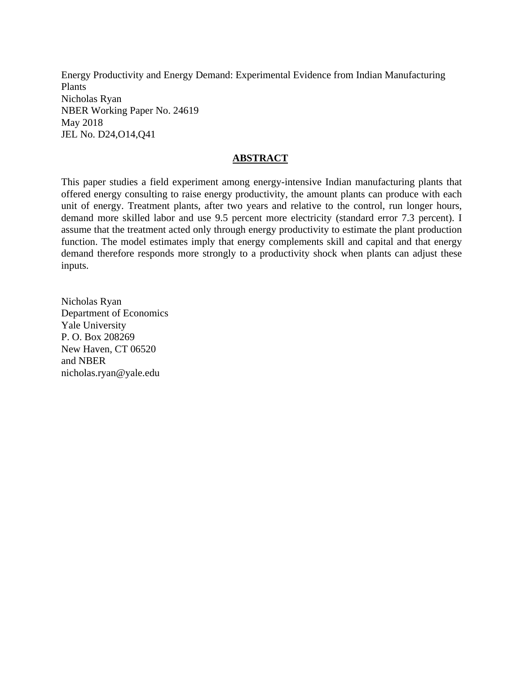Energy Productivity and Energy Demand: Experimental Evidence from Indian Manufacturing Plants Nicholas Ryan NBER Working Paper No. 24619 May 2018 JEL No. D24,O14,Q41

## **ABSTRACT**

This paper studies a field experiment among energy-intensive Indian manufacturing plants that offered energy consulting to raise energy productivity, the amount plants can produce with each unit of energy. Treatment plants, after two years and relative to the control, run longer hours, demand more skilled labor and use 9.5 percent more electricity (standard error 7.3 percent). I assume that the treatment acted only through energy productivity to estimate the plant production function. The model estimates imply that energy complements skill and capital and that energy demand therefore responds more strongly to a productivity shock when plants can adjust these inputs.

Nicholas Ryan Department of Economics Yale University P. O. Box 208269 New Haven, CT 06520 and NBER nicholas.ryan@yale.edu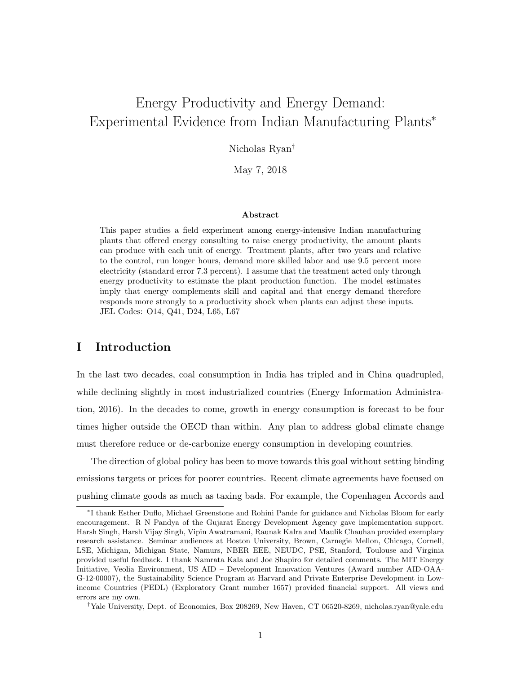# Energy Productivity and Energy Demand: Experimental Evidence from Indian Manufacturing Plants<sup>∗</sup>

Nicholas Ryan†

May 7, 2018

#### Abstract

This paper studies a field experiment among energy-intensive Indian manufacturing plants that offered energy consulting to raise energy productivity, the amount plants can produce with each unit of energy. Treatment plants, after two years and relative to the control, run longer hours, demand more skilled labor and use 9.5 percent more electricity (standard error 7.3 percent). I assume that the treatment acted only through energy productivity to estimate the plant production function. The model estimates imply that energy complements skill and capital and that energy demand therefore responds more strongly to a productivity shock when plants can adjust these inputs. JEL Codes: O14, Q41, D24, L65, L67

## I Introduction

In the last two decades, coal consumption in India has tripled and in China quadrupled, while declining slightly in most industrialized countries (Energy Information Administration, 2016). In the decades to come, growth in energy consumption is forecast to be four times higher outside the OECD than within. Any plan to address global climate change must therefore reduce or de-carbonize energy consumption in developing countries.

The direction of global policy has been to move towards this goal without setting binding emissions targets or prices for poorer countries. Recent climate agreements have focused on pushing climate goods as much as taxing bads. For example, the Copenhagen Accords and

†Yale University, Dept. of Economics, Box 208269, New Haven, CT 06520-8269, nicholas.ryan@yale.edu

<sup>∗</sup> I thank Esther Duflo, Michael Greenstone and Rohini Pande for guidance and Nicholas Bloom for early encouragement. R N Pandya of the Gujarat Energy Development Agency gave implementation support. Harsh Singh, Harsh Vijay Singh, Vipin Awatramani, Raunak Kalra and Maulik Chauhan provided exemplary research assistance. Seminar audiences at Boston University, Brown, Carnegie Mellon, Chicago, Cornell, LSE, Michigan, Michigan State, Namurs, NBER EEE, NEUDC, PSE, Stanford, Toulouse and Virginia provided useful feedback. I thank Namrata Kala and Joe Shapiro for detailed comments. The MIT Energy Initiative, Veolia Environment, US AID – Development Innovation Ventures (Award number AID-OAA-G-12-00007), the Sustainability Science Program at Harvard and Private Enterprise Development in Lowincome Countries (PEDL) (Exploratory Grant number 1657) provided financial support. All views and errors are my own.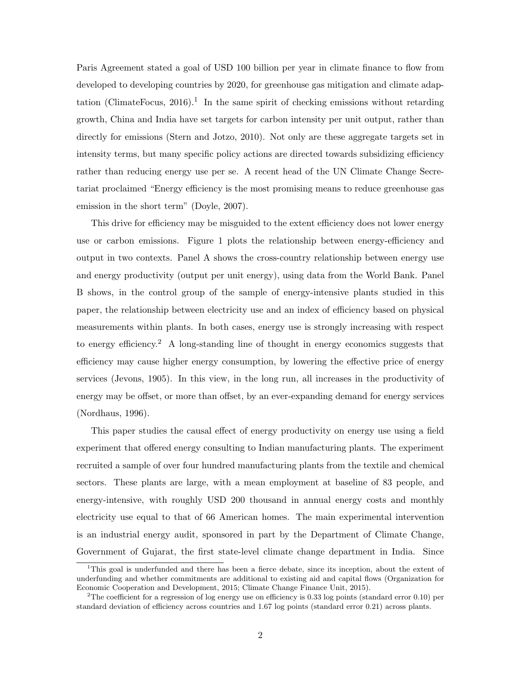Paris Agreement stated a goal of USD 100 billion per year in climate finance to flow from developed to developing countries by 2020, for greenhouse gas mitigation and climate adaptation (ClimateFocus, 2016).<sup>1</sup> In the same spirit of checking emissions without retarding growth, China and India have set targets for carbon intensity per unit output, rather than directly for emissions (Stern and Jotzo, 2010). Not only are these aggregate targets set in intensity terms, but many specific policy actions are directed towards subsidizing efficiency rather than reducing energy use per se. A recent head of the UN Climate Change Secretariat proclaimed "Energy efficiency is the most promising means to reduce greenhouse gas emission in the short term" (Doyle, 2007).

This drive for efficiency may be misguided to the extent efficiency does not lower energy use or carbon emissions. Figure 1 plots the relationship between energy-efficiency and output in two contexts. Panel A shows the cross-country relationship between energy use and energy productivity (output per unit energy), using data from the World Bank. Panel B shows, in the control group of the sample of energy-intensive plants studied in this paper, the relationship between electricity use and an index of efficiency based on physical measurements within plants. In both cases, energy use is strongly increasing with respect to energy efficiency.<sup>2</sup> A long-standing line of thought in energy economics suggests that efficiency may cause higher energy consumption, by lowering the effective price of energy services (Jevons, 1905). In this view, in the long run, all increases in the productivity of energy may be offset, or more than offset, by an ever-expanding demand for energy services (Nordhaus, 1996).

This paper studies the causal effect of energy productivity on energy use using a field experiment that offered energy consulting to Indian manufacturing plants. The experiment recruited a sample of over four hundred manufacturing plants from the textile and chemical sectors. These plants are large, with a mean employment at baseline of 83 people, and energy-intensive, with roughly USD 200 thousand in annual energy costs and monthly electricity use equal to that of 66 American homes. The main experimental intervention is an industrial energy audit, sponsored in part by the Department of Climate Change, Government of Gujarat, the first state-level climate change department in India. Since

<sup>&</sup>lt;sup>1</sup>This goal is underfunded and there has been a fierce debate, since its inception, about the extent of underfunding and whether commitments are additional to existing aid and capital flows (Organization for Economic Cooperation and Development, 2015; Climate Change Finance Unit, 2015).

<sup>&</sup>lt;sup>2</sup>The coefficient for a regression of log energy use on efficiency is 0.33 log points (standard error 0.10) per standard deviation of efficiency across countries and 1.67 log points (standard error 0.21) across plants.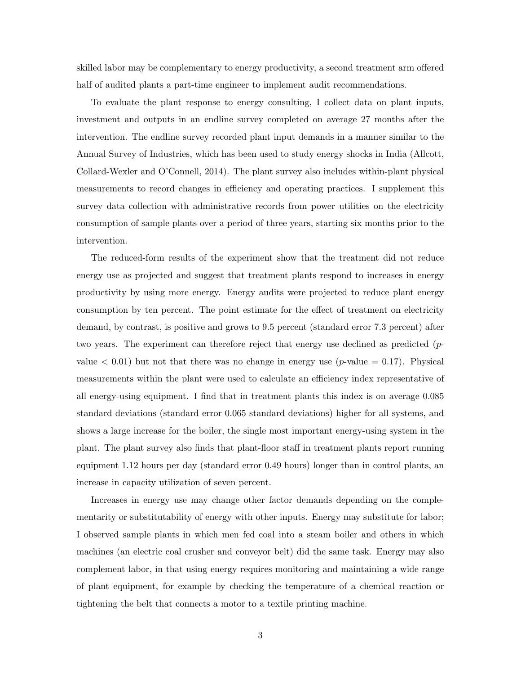skilled labor may be complementary to energy productivity, a second treatment arm offered half of audited plants a part-time engineer to implement audit recommendations.

To evaluate the plant response to energy consulting, I collect data on plant inputs, investment and outputs in an endline survey completed on average 27 months after the intervention. The endline survey recorded plant input demands in a manner similar to the Annual Survey of Industries, which has been used to study energy shocks in India (Allcott, Collard-Wexler and O'Connell, 2014). The plant survey also includes within-plant physical measurements to record changes in efficiency and operating practices. I supplement this survey data collection with administrative records from power utilities on the electricity consumption of sample plants over a period of three years, starting six months prior to the intervention.

The reduced-form results of the experiment show that the treatment did not reduce energy use as projected and suggest that treatment plants respond to increases in energy productivity by using more energy. Energy audits were projected to reduce plant energy consumption by ten percent. The point estimate for the effect of treatment on electricity demand, by contrast, is positive and grows to 9.5 percent (standard error 7.3 percent) after two years. The experiment can therefore reject that energy use declined as predicted  $(p$ value  $\lt 0.01$ ) but not that there was no change in energy use (p-value = 0.17). Physical measurements within the plant were used to calculate an efficiency index representative of all energy-using equipment. I find that in treatment plants this index is on average 0.085 standard deviations (standard error 0.065 standard deviations) higher for all systems, and shows a large increase for the boiler, the single most important energy-using system in the plant. The plant survey also finds that plant-floor staff in treatment plants report running equipment 1.12 hours per day (standard error 0.49 hours) longer than in control plants, an increase in capacity utilization of seven percent.

Increases in energy use may change other factor demands depending on the complementarity or substitutability of energy with other inputs. Energy may substitute for labor; I observed sample plants in which men fed coal into a steam boiler and others in which machines (an electric coal crusher and conveyor belt) did the same task. Energy may also complement labor, in that using energy requires monitoring and maintaining a wide range of plant equipment, for example by checking the temperature of a chemical reaction or tightening the belt that connects a motor to a textile printing machine.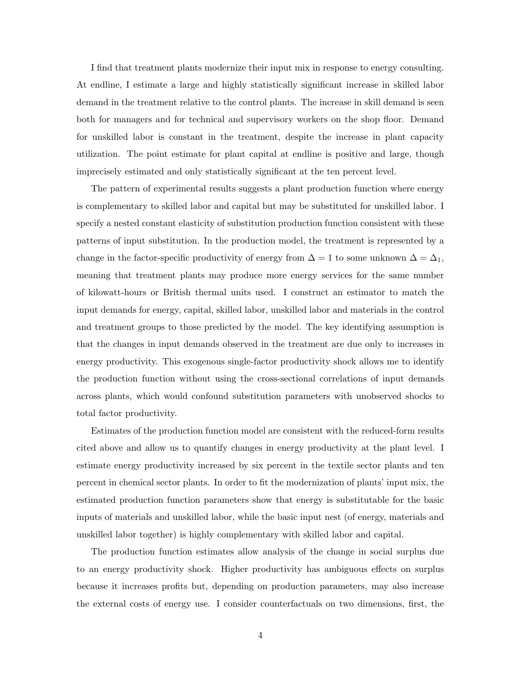I find that treatment plants modernize their input mix in response to energy consulting. At endline, I estimate a large and highly statistically significant increase in skilled labor demand in the treatment relative to the control plants. The increase in skill demand is seen both for managers and for technical and supervisory workers on the shop floor. Demand for unskilled labor is constant in the treatment, despite the increase in plant capacity utilization. The point estimate for plant capital at endline is positive and large, though imprecisely estimated and only statistically significant at the ten percent level.

The pattern of experimental results suggests a plant production function where energy is complementary to skilled labor and capital but may be substituted for unskilled labor. I specify a nested constant elasticity of substitution production function consistent with these patterns of input substitution. In the production model, the treatment is represented by a change in the factor-specific productivity of energy from  $\Delta = 1$  to some unknown  $\Delta = \Delta_1$ , meaning that treatment plants may produce more energy services for the same number of kilowatt-hours or British thermal units used. I construct an estimator to match the input demands for energy, capital, skilled labor, unskilled labor and materials in the control and treatment groups to those predicted by the model. The key identifying assumption is that the changes in input demands observed in the treatment are due only to increases in energy productivity. This exogenous single-factor productivity shock allows me to identify the production function without using the cross-sectional correlations of input demands across plants, which would confound substitution parameters with unobserved shocks to total factor productivity.

Estimates of the production function model are consistent with the reduced-form results cited above and allow us to quantify changes in energy productivity at the plant level. I estimate energy productivity increased by six percent in the textile sector plants and ten percent in chemical sector plants. In order to fit the modernization of plants' input mix, the estimated production function parameters show that energy is substitutable for the basic inputs of materials and unskilled labor, while the basic input nest (of energy, materials and unskilled labor together) is highly complementary with skilled labor and capital.

The production function estimates allow analysis of the change in social surplus due to an energy productivity shock. Higher productivity has ambiguous effects on surplus because it increases profits but, depending on production parameters, may also increase the external costs of energy use. I consider counterfactuals on two dimensions, first, the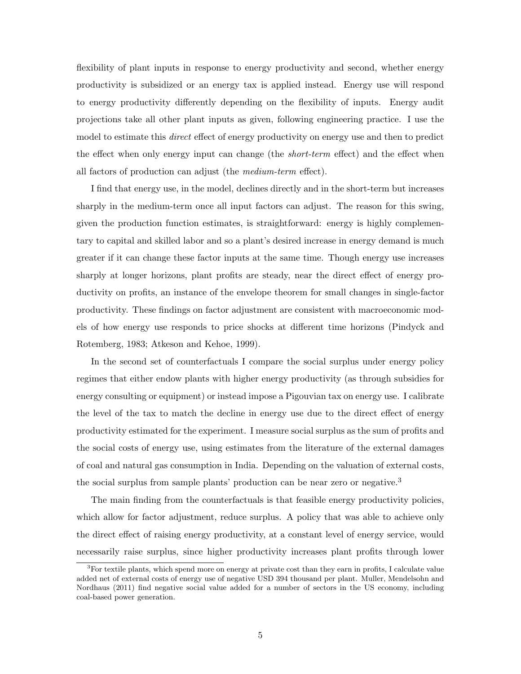flexibility of plant inputs in response to energy productivity and second, whether energy productivity is subsidized or an energy tax is applied instead. Energy use will respond to energy productivity differently depending on the flexibility of inputs. Energy audit projections take all other plant inputs as given, following engineering practice. I use the model to estimate this *direct* effect of energy productivity on energy use and then to predict the effect when only energy input can change (the *short-term* effect) and the effect when all factors of production can adjust (the medium-term effect).

I find that energy use, in the model, declines directly and in the short-term but increases sharply in the medium-term once all input factors can adjust. The reason for this swing, given the production function estimates, is straightforward: energy is highly complementary to capital and skilled labor and so a plant's desired increase in energy demand is much greater if it can change these factor inputs at the same time. Though energy use increases sharply at longer horizons, plant profits are steady, near the direct effect of energy productivity on profits, an instance of the envelope theorem for small changes in single-factor productivity. These findings on factor adjustment are consistent with macroeconomic models of how energy use responds to price shocks at different time horizons (Pindyck and Rotemberg, 1983; Atkeson and Kehoe, 1999).

In the second set of counterfactuals I compare the social surplus under energy policy regimes that either endow plants with higher energy productivity (as through subsidies for energy consulting or equipment) or instead impose a Pigouvian tax on energy use. I calibrate the level of the tax to match the decline in energy use due to the direct effect of energy productivity estimated for the experiment. I measure social surplus as the sum of profits and the social costs of energy use, using estimates from the literature of the external damages of coal and natural gas consumption in India. Depending on the valuation of external costs, the social surplus from sample plants' production can be near zero or negative.<sup>3</sup>

The main finding from the counterfactuals is that feasible energy productivity policies, which allow for factor adjustment, reduce surplus. A policy that was able to achieve only the direct effect of raising energy productivity, at a constant level of energy service, would necessarily raise surplus, since higher productivity increases plant profits through lower

<sup>&</sup>lt;sup>3</sup>For textile plants, which spend more on energy at private cost than they earn in profits, I calculate value added net of external costs of energy use of negative USD 394 thousand per plant. Muller, Mendelsohn and Nordhaus (2011) find negative social value added for a number of sectors in the US economy, including coal-based power generation.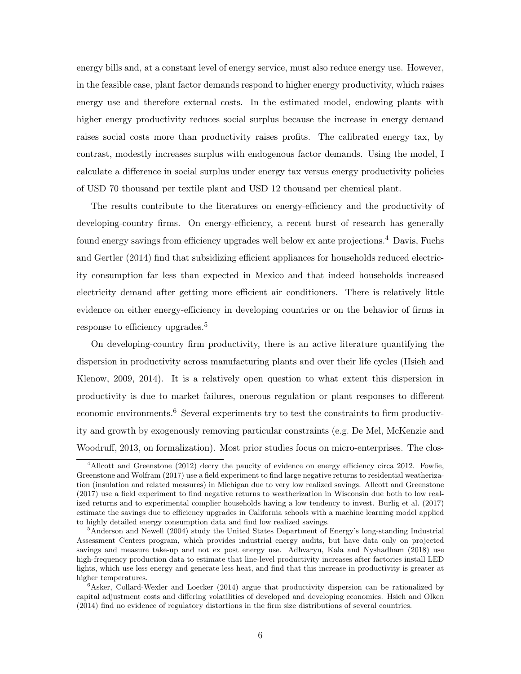energy bills and, at a constant level of energy service, must also reduce energy use. However, in the feasible case, plant factor demands respond to higher energy productivity, which raises energy use and therefore external costs. In the estimated model, endowing plants with higher energy productivity reduces social surplus because the increase in energy demand raises social costs more than productivity raises profits. The calibrated energy tax, by contrast, modestly increases surplus with endogenous factor demands. Using the model, I calculate a difference in social surplus under energy tax versus energy productivity policies of USD 70 thousand per textile plant and USD 12 thousand per chemical plant.

The results contribute to the literatures on energy-efficiency and the productivity of developing-country firms. On energy-efficiency, a recent burst of research has generally found energy savings from efficiency upgrades well below ex ante projections.<sup>4</sup> Davis, Fuchs and Gertler (2014) find that subsidizing efficient appliances for households reduced electricity consumption far less than expected in Mexico and that indeed households increased electricity demand after getting more efficient air conditioners. There is relatively little evidence on either energy-efficiency in developing countries or on the behavior of firms in response to efficiency upgrades.<sup>5</sup>

On developing-country firm productivity, there is an active literature quantifying the dispersion in productivity across manufacturing plants and over their life cycles (Hsieh and Klenow, 2009, 2014). It is a relatively open question to what extent this dispersion in productivity is due to market failures, onerous regulation or plant responses to different economic environments.<sup>6</sup> Several experiments try to test the constraints to firm productivity and growth by exogenously removing particular constraints (e.g. De Mel, McKenzie and Woodruff, 2013, on formalization). Most prior studies focus on micro-enterprises. The clos-

<sup>&</sup>lt;sup>4</sup>Allcott and Greenstone (2012) decry the paucity of evidence on energy efficiency circa 2012. Fowlie, Greenstone and Wolfram (2017) use a field experiment to find large negative returns to residential weatherization (insulation and related measures) in Michigan due to very low realized savings. Allcott and Greenstone (2017) use a field experiment to find negative returns to weatherization in Wisconsin due both to low realized returns and to experimental complier households having a low tendency to invest. Burlig et al. (2017) estimate the savings due to efficiency upgrades in California schools with a machine learning model applied to highly detailed energy consumption data and find low realized savings.

<sup>&</sup>lt;sup>5</sup>Anderson and Newell (2004) study the United States Department of Energy's long-standing Industrial Assessment Centers program, which provides industrial energy audits, but have data only on projected savings and measure take-up and not ex post energy use. Adhvaryu, Kala and Nyshadham (2018) use high-frequency production data to estimate that line-level productivity increases after factories install LED lights, which use less energy and generate less heat, and find that this increase in productivity is greater at higher temperatures.

 $6$ Asker, Collard-Wexler and Loecker (2014) argue that productivity dispersion can be rationalized by capital adjustment costs and differing volatilities of developed and developing economics. Hsieh and Olken (2014) find no evidence of regulatory distortions in the firm size distributions of several countries.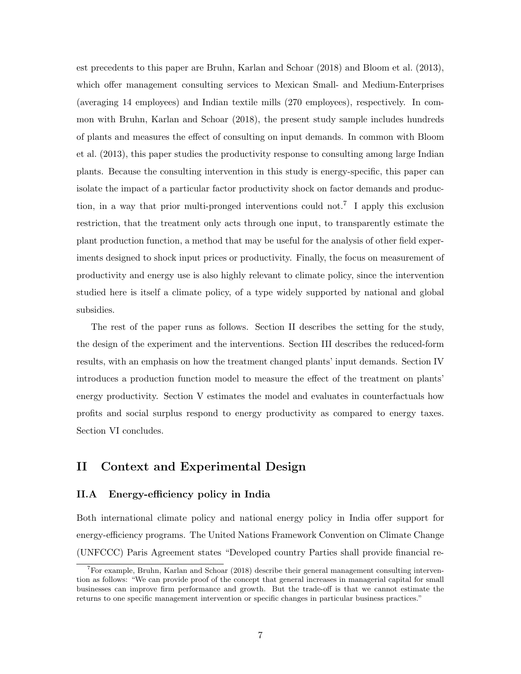est precedents to this paper are Bruhn, Karlan and Schoar (2018) and Bloom et al. (2013), which offer management consulting services to Mexican Small- and Medium-Enterprises (averaging 14 employees) and Indian textile mills (270 employees), respectively. In common with Bruhn, Karlan and Schoar (2018), the present study sample includes hundreds of plants and measures the effect of consulting on input demands. In common with Bloom et al. (2013), this paper studies the productivity response to consulting among large Indian plants. Because the consulting intervention in this study is energy-specific, this paper can isolate the impact of a particular factor productivity shock on factor demands and production, in a way that prior multi-pronged interventions could not.<sup>7</sup> I apply this exclusion restriction, that the treatment only acts through one input, to transparently estimate the plant production function, a method that may be useful for the analysis of other field experiments designed to shock input prices or productivity. Finally, the focus on measurement of productivity and energy use is also highly relevant to climate policy, since the intervention studied here is itself a climate policy, of a type widely supported by national and global subsidies.

The rest of the paper runs as follows. Section II describes the setting for the study, the design of the experiment and the interventions. Section III describes the reduced-form results, with an emphasis on how the treatment changed plants' input demands. Section IV introduces a production function model to measure the effect of the treatment on plants' energy productivity. Section V estimates the model and evaluates in counterfactuals how profits and social surplus respond to energy productivity as compared to energy taxes. Section VI concludes.

## II Context and Experimental Design

#### II.A Energy-efficiency policy in India

Both international climate policy and national energy policy in India offer support for energy-efficiency programs. The United Nations Framework Convention on Climate Change (UNFCCC) Paris Agreement states "Developed country Parties shall provide financial re-

 $7F$  For example, Bruhn, Karlan and Schoar (2018) describe their general management consulting intervention as follows: "We can provide proof of the concept that general increases in managerial capital for small businesses can improve firm performance and growth. But the trade-off is that we cannot estimate the returns to one specific management intervention or specific changes in particular business practices."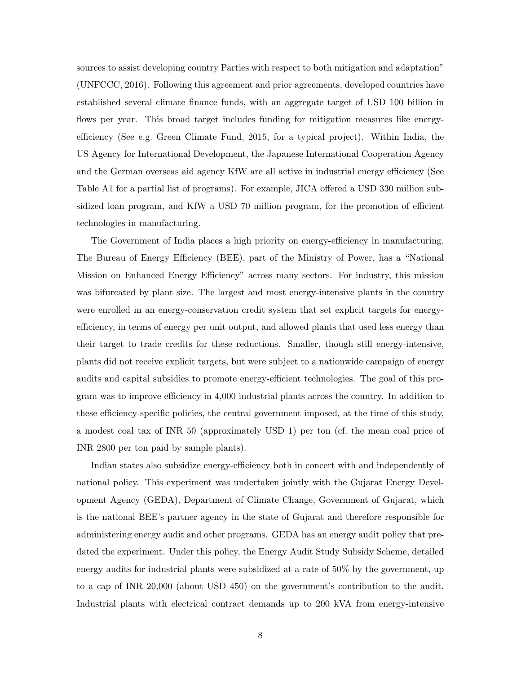sources to assist developing country Parties with respect to both mitigation and adaptation" (UNFCCC, 2016). Following this agreement and prior agreements, developed countries have established several climate finance funds, with an aggregate target of USD 100 billion in flows per year. This broad target includes funding for mitigation measures like energyefficiency (See e.g. Green Climate Fund, 2015, for a typical project). Within India, the US Agency for International Development, the Japanese International Cooperation Agency and the German overseas aid agency KfW are all active in industrial energy efficiency (See Table A1 for a partial list of programs). For example, JICA offered a USD 330 million subsidized loan program, and KfW a USD 70 million program, for the promotion of efficient technologies in manufacturing.

The Government of India places a high priority on energy-efficiency in manufacturing. The Bureau of Energy Efficiency (BEE), part of the Ministry of Power, has a "National Mission on Enhanced Energy Efficiency" across many sectors. For industry, this mission was bifurcated by plant size. The largest and most energy-intensive plants in the country were enrolled in an energy-conservation credit system that set explicit targets for energyefficiency, in terms of energy per unit output, and allowed plants that used less energy than their target to trade credits for these reductions. Smaller, though still energy-intensive, plants did not receive explicit targets, but were subject to a nationwide campaign of energy audits and capital subsidies to promote energy-efficient technologies. The goal of this program was to improve efficiency in 4,000 industrial plants across the country. In addition to these efficiency-specific policies, the central government imposed, at the time of this study, a modest coal tax of INR 50 (approximately USD 1) per ton (cf. the mean coal price of INR 2800 per ton paid by sample plants).

Indian states also subsidize energy-efficiency both in concert with and independently of national policy. This experiment was undertaken jointly with the Gujarat Energy Development Agency (GEDA), Department of Climate Change, Government of Gujarat, which is the national BEE's partner agency in the state of Gujarat and therefore responsible for administering energy audit and other programs. GEDA has an energy audit policy that predated the experiment. Under this policy, the Energy Audit Study Subsidy Scheme, detailed energy audits for industrial plants were subsidized at a rate of 50% by the government, up to a cap of INR 20,000 (about USD 450) on the government's contribution to the audit. Industrial plants with electrical contract demands up to 200 kVA from energy-intensive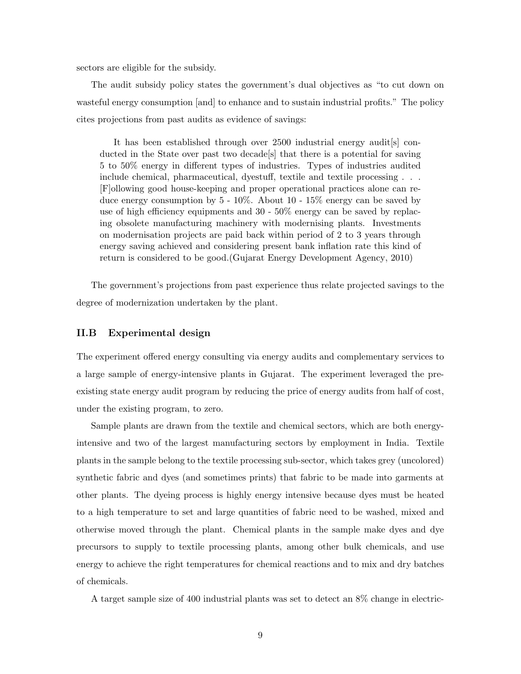sectors are eligible for the subsidy.

The audit subsidy policy states the government's dual objectives as "to cut down on wasteful energy consumption [and] to enhance and to sustain industrial profits." The policy cites projections from past audits as evidence of savings:

It has been established through over 2500 industrial energy audit [s] conducted in the State over past two decade<sup>[s]</sup> that there is a potential for saving 5 to 50% energy in different types of industries. Types of industries audited include chemical, pharmaceutical, dyestuff, textile and textile processing . . . [F]ollowing good house-keeping and proper operational practices alone can reduce energy consumption by  $5 - 10\%$ . About  $10 - 15\%$  energy can be saved by use of high efficiency equipments and  $30 - 50\%$  energy can be saved by replacing obsolete manufacturing machinery with modernising plants. Investments on modernisation projects are paid back within period of 2 to 3 years through energy saving achieved and considering present bank inflation rate this kind of return is considered to be good.(Gujarat Energy Development Agency, 2010)

The government's projections from past experience thus relate projected savings to the degree of modernization undertaken by the plant.

#### II.B Experimental design

The experiment offered energy consulting via energy audits and complementary services to a large sample of energy-intensive plants in Gujarat. The experiment leveraged the preexisting state energy audit program by reducing the price of energy audits from half of cost, under the existing program, to zero.

Sample plants are drawn from the textile and chemical sectors, which are both energyintensive and two of the largest manufacturing sectors by employment in India. Textile plants in the sample belong to the textile processing sub-sector, which takes grey (uncolored) synthetic fabric and dyes (and sometimes prints) that fabric to be made into garments at other plants. The dyeing process is highly energy intensive because dyes must be heated to a high temperature to set and large quantities of fabric need to be washed, mixed and otherwise moved through the plant. Chemical plants in the sample make dyes and dye precursors to supply to textile processing plants, among other bulk chemicals, and use energy to achieve the right temperatures for chemical reactions and to mix and dry batches of chemicals.

A target sample size of 400 industrial plants was set to detect an 8% change in electric-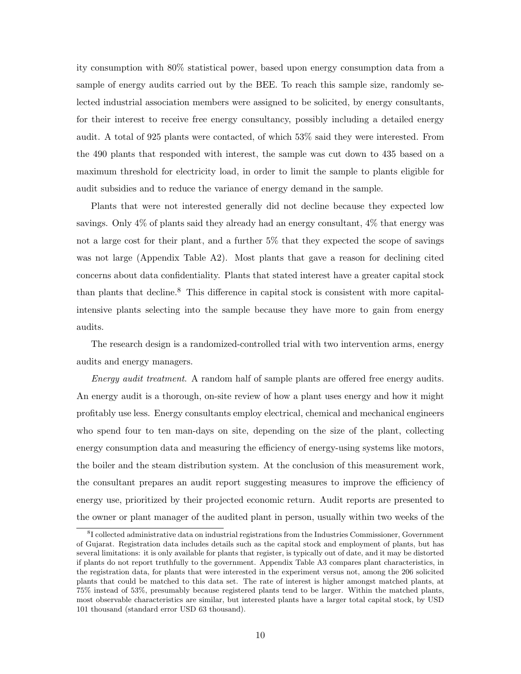ity consumption with 80% statistical power, based upon energy consumption data from a sample of energy audits carried out by the BEE. To reach this sample size, randomly selected industrial association members were assigned to be solicited, by energy consultants, for their interest to receive free energy consultancy, possibly including a detailed energy audit. A total of 925 plants were contacted, of which 53% said they were interested. From the 490 plants that responded with interest, the sample was cut down to 435 based on a maximum threshold for electricity load, in order to limit the sample to plants eligible for audit subsidies and to reduce the variance of energy demand in the sample.

Plants that were not interested generally did not decline because they expected low savings. Only 4% of plants said they already had an energy consultant, 4% that energy was not a large cost for their plant, and a further 5% that they expected the scope of savings was not large (Appendix Table A2). Most plants that gave a reason for declining cited concerns about data confidentiality. Plants that stated interest have a greater capital stock than plants that decline.<sup>8</sup> This difference in capital stock is consistent with more capitalintensive plants selecting into the sample because they have more to gain from energy audits.

The research design is a randomized-controlled trial with two intervention arms, energy audits and energy managers.

Energy audit treatment. A random half of sample plants are offered free energy audits. An energy audit is a thorough, on-site review of how a plant uses energy and how it might profitably use less. Energy consultants employ electrical, chemical and mechanical engineers who spend four to ten man-days on site, depending on the size of the plant, collecting energy consumption data and measuring the efficiency of energy-using systems like motors, the boiler and the steam distribution system. At the conclusion of this measurement work, the consultant prepares an audit report suggesting measures to improve the efficiency of energy use, prioritized by their projected economic return. Audit reports are presented to the owner or plant manager of the audited plant in person, usually within two weeks of the

<sup>&</sup>lt;sup>8</sup>I collected administrative data on industrial registrations from the Industries Commissioner, Government of Gujarat. Registration data includes details such as the capital stock and employment of plants, but has several limitations: it is only available for plants that register, is typically out of date, and it may be distorted if plants do not report truthfully to the government. Appendix Table A3 compares plant characteristics, in the registration data, for plants that were interested in the experiment versus not, among the 206 solicited plants that could be matched to this data set. The rate of interest is higher amongst matched plants, at 75% instead of 53%, presumably because registered plants tend to be larger. Within the matched plants, most observable characteristics are similar, but interested plants have a larger total capital stock, by USD 101 thousand (standard error USD 63 thousand).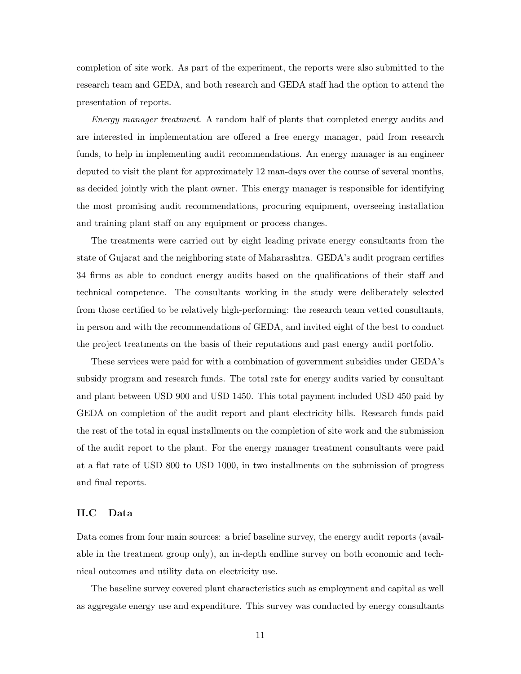completion of site work. As part of the experiment, the reports were also submitted to the research team and GEDA, and both research and GEDA staff had the option to attend the presentation of reports.

Energy manager treatment. A random half of plants that completed energy audits and are interested in implementation are offered a free energy manager, paid from research funds, to help in implementing audit recommendations. An energy manager is an engineer deputed to visit the plant for approximately 12 man-days over the course of several months, as decided jointly with the plant owner. This energy manager is responsible for identifying the most promising audit recommendations, procuring equipment, overseeing installation and training plant staff on any equipment or process changes.

The treatments were carried out by eight leading private energy consultants from the state of Gujarat and the neighboring state of Maharashtra. GEDA's audit program certifies 34 firms as able to conduct energy audits based on the qualifications of their staff and technical competence. The consultants working in the study were deliberately selected from those certified to be relatively high-performing: the research team vetted consultants, in person and with the recommendations of GEDA, and invited eight of the best to conduct the project treatments on the basis of their reputations and past energy audit portfolio.

These services were paid for with a combination of government subsidies under GEDA's subsidy program and research funds. The total rate for energy audits varied by consultant and plant between USD 900 and USD 1450. This total payment included USD 450 paid by GEDA on completion of the audit report and plant electricity bills. Research funds paid the rest of the total in equal installments on the completion of site work and the submission of the audit report to the plant. For the energy manager treatment consultants were paid at a flat rate of USD 800 to USD 1000, in two installments on the submission of progress and final reports.

#### II.C Data

Data comes from four main sources: a brief baseline survey, the energy audit reports (available in the treatment group only), an in-depth endline survey on both economic and technical outcomes and utility data on electricity use.

The baseline survey covered plant characteristics such as employment and capital as well as aggregate energy use and expenditure. This survey was conducted by energy consultants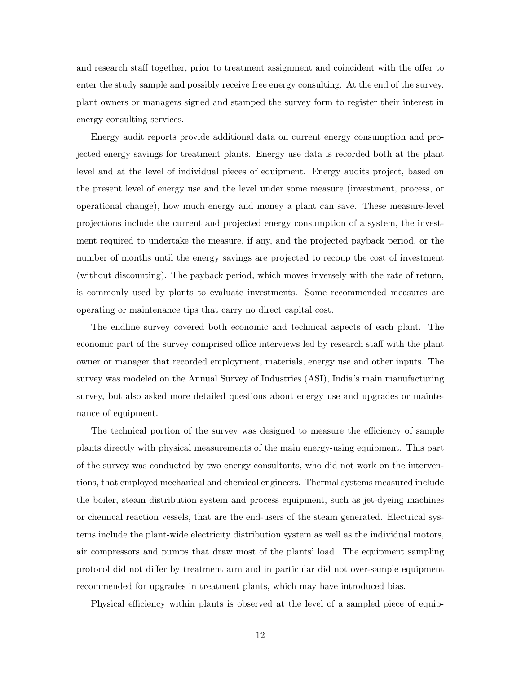and research staff together, prior to treatment assignment and coincident with the offer to enter the study sample and possibly receive free energy consulting. At the end of the survey, plant owners or managers signed and stamped the survey form to register their interest in energy consulting services.

Energy audit reports provide additional data on current energy consumption and projected energy savings for treatment plants. Energy use data is recorded both at the plant level and at the level of individual pieces of equipment. Energy audits project, based on the present level of energy use and the level under some measure (investment, process, or operational change), how much energy and money a plant can save. These measure-level projections include the current and projected energy consumption of a system, the investment required to undertake the measure, if any, and the projected payback period, or the number of months until the energy savings are projected to recoup the cost of investment (without discounting). The payback period, which moves inversely with the rate of return, is commonly used by plants to evaluate investments. Some recommended measures are operating or maintenance tips that carry no direct capital cost.

The endline survey covered both economic and technical aspects of each plant. The economic part of the survey comprised office interviews led by research staff with the plant owner or manager that recorded employment, materials, energy use and other inputs. The survey was modeled on the Annual Survey of Industries (ASI), India's main manufacturing survey, but also asked more detailed questions about energy use and upgrades or maintenance of equipment.

The technical portion of the survey was designed to measure the efficiency of sample plants directly with physical measurements of the main energy-using equipment. This part of the survey was conducted by two energy consultants, who did not work on the interventions, that employed mechanical and chemical engineers. Thermal systems measured include the boiler, steam distribution system and process equipment, such as jet-dyeing machines or chemical reaction vessels, that are the end-users of the steam generated. Electrical systems include the plant-wide electricity distribution system as well as the individual motors, air compressors and pumps that draw most of the plants' load. The equipment sampling protocol did not differ by treatment arm and in particular did not over-sample equipment recommended for upgrades in treatment plants, which may have introduced bias.

Physical efficiency within plants is observed at the level of a sampled piece of equip-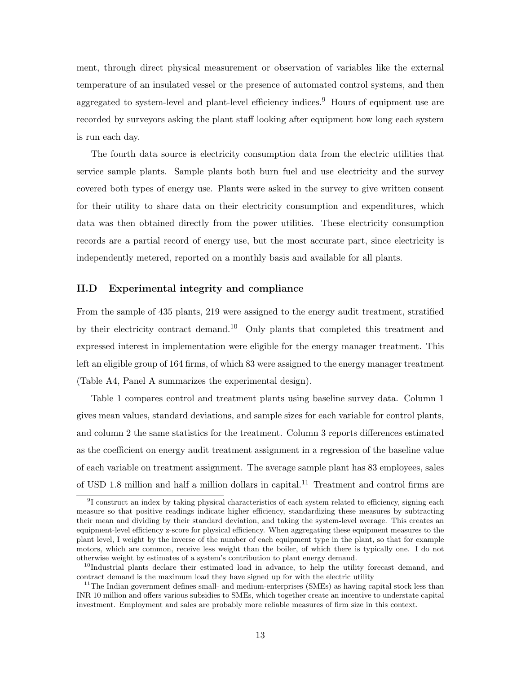ment, through direct physical measurement or observation of variables like the external temperature of an insulated vessel or the presence of automated control systems, and then aggregated to system-level and plant-level efficiency indices.<sup>9</sup> Hours of equipment use are recorded by surveyors asking the plant staff looking after equipment how long each system is run each day.

The fourth data source is electricity consumption data from the electric utilities that service sample plants. Sample plants both burn fuel and use electricity and the survey covered both types of energy use. Plants were asked in the survey to give written consent for their utility to share data on their electricity consumption and expenditures, which data was then obtained directly from the power utilities. These electricity consumption records are a partial record of energy use, but the most accurate part, since electricity is independently metered, reported on a monthly basis and available for all plants.

#### II.D Experimental integrity and compliance

From the sample of 435 plants, 219 were assigned to the energy audit treatment, stratified by their electricity contract demand.<sup>10</sup> Only plants that completed this treatment and expressed interest in implementation were eligible for the energy manager treatment. This left an eligible group of 164 firms, of which 83 were assigned to the energy manager treatment (Table A4, Panel A summarizes the experimental design).

Table 1 compares control and treatment plants using baseline survey data. Column 1 gives mean values, standard deviations, and sample sizes for each variable for control plants, and column 2 the same statistics for the treatment. Column 3 reports differences estimated as the coefficient on energy audit treatment assignment in a regression of the baseline value of each variable on treatment assignment. The average sample plant has 83 employees, sales of USD 1.8 million and half a million dollars in capital.<sup>11</sup> Treatment and control firms are

<sup>&</sup>lt;sup>9</sup>I construct an index by taking physical characteristics of each system related to efficiency, signing each measure so that positive readings indicate higher efficiency, standardizing these measures by subtracting their mean and dividing by their standard deviation, and taking the system-level average. This creates an equipment-level efficiency z-score for physical efficiency. When aggregating these equipment measures to the plant level, I weight by the inverse of the number of each equipment type in the plant, so that for example motors, which are common, receive less weight than the boiler, of which there is typically one. I do not otherwise weight by estimates of a system's contribution to plant energy demand.

<sup>&</sup>lt;sup>10</sup>Industrial plants declare their estimated load in advance, to help the utility forecast demand, and contract demand is the maximum load they have signed up for with the electric utility

 $11$ The Indian government defines small- and medium-enterprises (SMEs) as having capital stock less than INR 10 million and offers various subsidies to SMEs, which together create an incentive to understate capital investment. Employment and sales are probably more reliable measures of firm size in this context.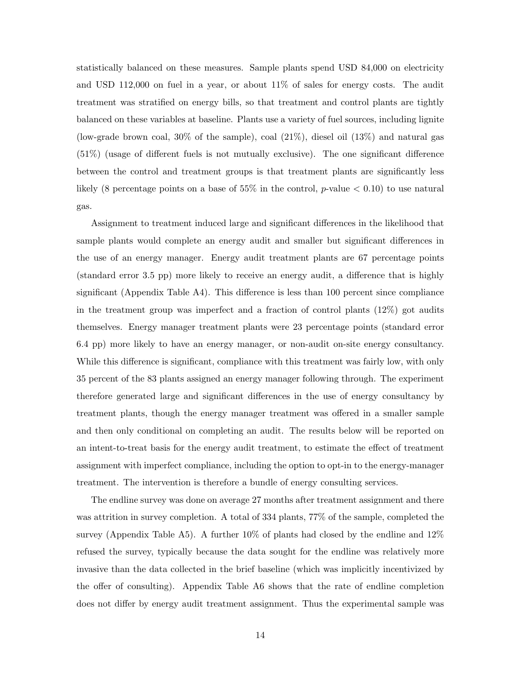statistically balanced on these measures. Sample plants spend USD 84,000 on electricity and USD 112,000 on fuel in a year, or about 11% of sales for energy costs. The audit treatment was stratified on energy bills, so that treatment and control plants are tightly balanced on these variables at baseline. Plants use a variety of fuel sources, including lignite (low-grade brown coal, 30% of the sample), coal  $(21\%)$ , diesel oil  $(13\%)$  and natural gas (51%) (usage of different fuels is not mutually exclusive). The one significant difference between the control and treatment groups is that treatment plants are significantly less likely (8 percentage points on a base of  $55\%$  in the control, p-value  $< 0.10$ ) to use natural gas.

Assignment to treatment induced large and significant differences in the likelihood that sample plants would complete an energy audit and smaller but significant differences in the use of an energy manager. Energy audit treatment plants are 67 percentage points (standard error 3.5 pp) more likely to receive an energy audit, a difference that is highly significant (Appendix Table A4). This difference is less than 100 percent since compliance in the treatment group was imperfect and a fraction of control plants  $(12\%)$  got audits themselves. Energy manager treatment plants were 23 percentage points (standard error 6.4 pp) more likely to have an energy manager, or non-audit on-site energy consultancy. While this difference is significant, compliance with this treatment was fairly low, with only 35 percent of the 83 plants assigned an energy manager following through. The experiment therefore generated large and significant differences in the use of energy consultancy by treatment plants, though the energy manager treatment was offered in a smaller sample and then only conditional on completing an audit. The results below will be reported on an intent-to-treat basis for the energy audit treatment, to estimate the effect of treatment assignment with imperfect compliance, including the option to opt-in to the energy-manager treatment. The intervention is therefore a bundle of energy consulting services.

The endline survey was done on average 27 months after treatment assignment and there was attrition in survey completion. A total of 334 plants, 77% of the sample, completed the survey (Appendix Table A5). A further  $10\%$  of plants had closed by the endline and  $12\%$ refused the survey, typically because the data sought for the endline was relatively more invasive than the data collected in the brief baseline (which was implicitly incentivized by the offer of consulting). Appendix Table A6 shows that the rate of endline completion does not differ by energy audit treatment assignment. Thus the experimental sample was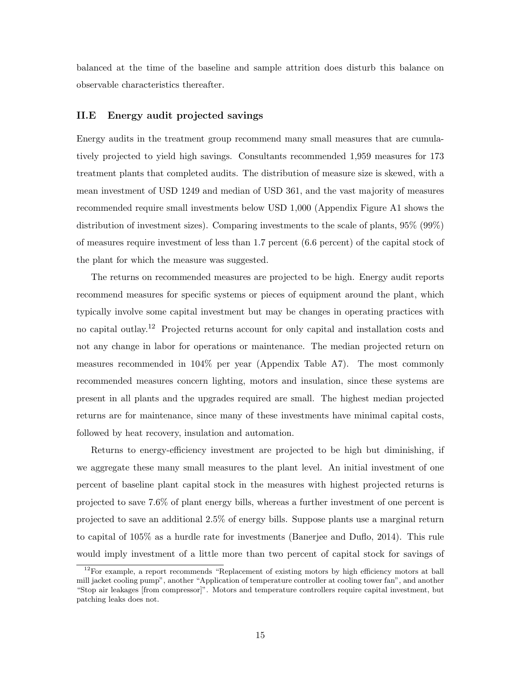balanced at the time of the baseline and sample attrition does disturb this balance on observable characteristics thereafter.

#### II.E Energy audit projected savings

Energy audits in the treatment group recommend many small measures that are cumulatively projected to yield high savings. Consultants recommended 1,959 measures for 173 treatment plants that completed audits. The distribution of measure size is skewed, with a mean investment of USD 1249 and median of USD 361, and the vast majority of measures recommended require small investments below USD 1,000 (Appendix Figure A1 shows the distribution of investment sizes). Comparing investments to the scale of plants, 95% (99%) of measures require investment of less than 1.7 percent (6.6 percent) of the capital stock of the plant for which the measure was suggested.

The returns on recommended measures are projected to be high. Energy audit reports recommend measures for specific systems or pieces of equipment around the plant, which typically involve some capital investment but may be changes in operating practices with no capital outlay.<sup>12</sup> Projected returns account for only capital and installation costs and not any change in labor for operations or maintenance. The median projected return on measures recommended in 104% per year (Appendix Table A7). The most commonly recommended measures concern lighting, motors and insulation, since these systems are present in all plants and the upgrades required are small. The highest median projected returns are for maintenance, since many of these investments have minimal capital costs, followed by heat recovery, insulation and automation.

Returns to energy-efficiency investment are projected to be high but diminishing, if we aggregate these many small measures to the plant level. An initial investment of one percent of baseline plant capital stock in the measures with highest projected returns is projected to save 7.6% of plant energy bills, whereas a further investment of one percent is projected to save an additional 2.5% of energy bills. Suppose plants use a marginal return to capital of 105% as a hurdle rate for investments (Banerjee and Duflo, 2014). This rule would imply investment of a little more than two percent of capital stock for savings of

 $12$ For example, a report recommends "Replacement of existing motors by high efficiency motors at ball mill jacket cooling pump", another "Application of temperature controller at cooling tower fan", and another "Stop air leakages [from compressor]". Motors and temperature controllers require capital investment, but patching leaks does not.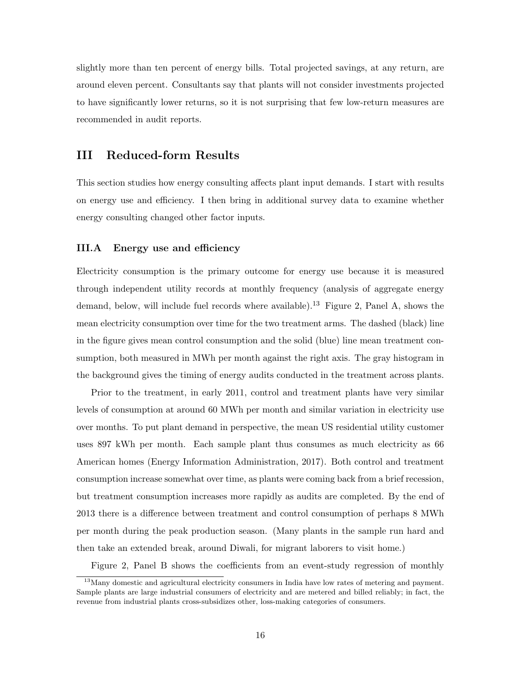slightly more than ten percent of energy bills. Total projected savings, at any return, are around eleven percent. Consultants say that plants will not consider investments projected to have significantly lower returns, so it is not surprising that few low-return measures are recommended in audit reports.

## III Reduced-form Results

This section studies how energy consulting affects plant input demands. I start with results on energy use and efficiency. I then bring in additional survey data to examine whether energy consulting changed other factor inputs.

#### III.A Energy use and efficiency

Electricity consumption is the primary outcome for energy use because it is measured through independent utility records at monthly frequency (analysis of aggregate energy demand, below, will include fuel records where available).<sup>13</sup> Figure 2, Panel A, shows the mean electricity consumption over time for the two treatment arms. The dashed (black) line in the figure gives mean control consumption and the solid (blue) line mean treatment consumption, both measured in MWh per month against the right axis. The gray histogram in the background gives the timing of energy audits conducted in the treatment across plants.

Prior to the treatment, in early 2011, control and treatment plants have very similar levels of consumption at around 60 MWh per month and similar variation in electricity use over months. To put plant demand in perspective, the mean US residential utility customer uses 897 kWh per month. Each sample plant thus consumes as much electricity as 66 American homes (Energy Information Administration, 2017). Both control and treatment consumption increase somewhat over time, as plants were coming back from a brief recession, but treatment consumption increases more rapidly as audits are completed. By the end of 2013 there is a difference between treatment and control consumption of perhaps 8 MWh per month during the peak production season. (Many plants in the sample run hard and then take an extended break, around Diwali, for migrant laborers to visit home.)

Figure 2, Panel B shows the coefficients from an event-study regression of monthly

<sup>&</sup>lt;sup>13</sup>Many domestic and agricultural electricity consumers in India have low rates of metering and payment. Sample plants are large industrial consumers of electricity and are metered and billed reliably; in fact, the revenue from industrial plants cross-subsidizes other, loss-making categories of consumers.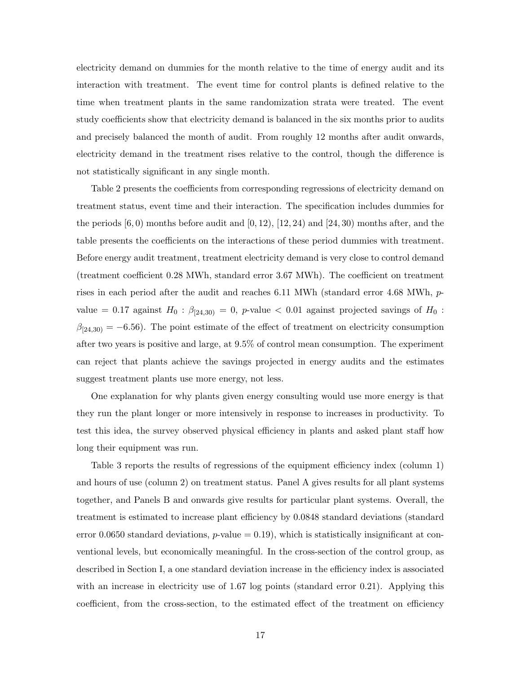electricity demand on dummies for the month relative to the time of energy audit and its interaction with treatment. The event time for control plants is defined relative to the time when treatment plants in the same randomization strata were treated. The event study coefficients show that electricity demand is balanced in the six months prior to audits and precisely balanced the month of audit. From roughly 12 months after audit onwards, electricity demand in the treatment rises relative to the control, though the difference is not statistically significant in any single month.

Table 2 presents the coefficients from corresponding regressions of electricity demand on treatment status, event time and their interaction. The specification includes dummies for the periods  $[6, 0)$  months before audit and  $[0, 12)$ ,  $[12, 24)$  and  $[24, 30)$  months after, and the table presents the coefficients on the interactions of these period dummies with treatment. Before energy audit treatment, treatment electricity demand is very close to control demand (treatment coefficient 0.28 MWh, standard error 3.67 MWh). The coefficient on treatment rises in each period after the audit and reaches 6.11 MWh (standard error 4.68 MWh,  $p$ value = 0.17 against  $H_0$  :  $\beta_{[24,30)} = 0$ , p-value < 0.01 against projected savings of  $H_0$  :  $\beta_{[24,30)} = -6.56$ ). The point estimate of the effect of treatment on electricity consumption after two years is positive and large, at 9.5% of control mean consumption. The experiment can reject that plants achieve the savings projected in energy audits and the estimates suggest treatment plants use more energy, not less.

One explanation for why plants given energy consulting would use more energy is that they run the plant longer or more intensively in response to increases in productivity. To test this idea, the survey observed physical efficiency in plants and asked plant staff how long their equipment was run.

Table 3 reports the results of regressions of the equipment efficiency index (column 1) and hours of use (column 2) on treatment status. Panel A gives results for all plant systems together, and Panels B and onwards give results for particular plant systems. Overall, the treatment is estimated to increase plant efficiency by 0.0848 standard deviations (standard error 0.0650 standard deviations,  $p$ -value = 0.19), which is statistically insignificant at conventional levels, but economically meaningful. In the cross-section of the control group, as described in Section I, a one standard deviation increase in the efficiency index is associated with an increase in electricity use of 1.67 log points (standard error 0.21). Applying this coefficient, from the cross-section, to the estimated effect of the treatment on efficiency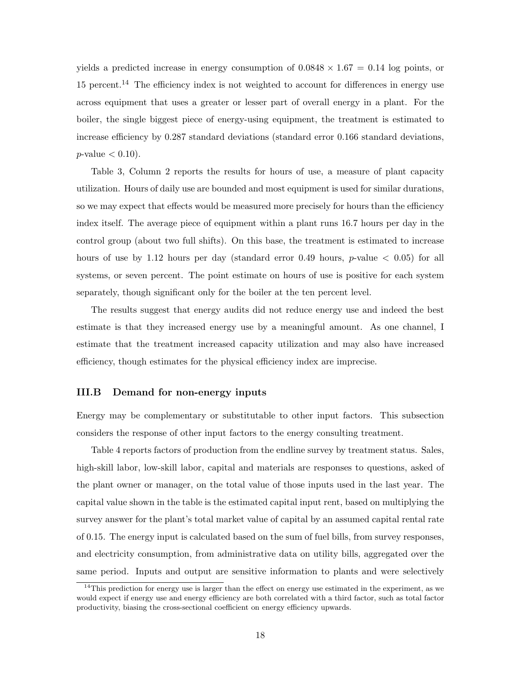yields a predicted increase in energy consumption of  $0.0848 \times 1.67 = 0.14$  log points, or  $15$  percent.<sup>14</sup> The efficiency index is not weighted to account for differences in energy use across equipment that uses a greater or lesser part of overall energy in a plant. For the boiler, the single biggest piece of energy-using equipment, the treatment is estimated to increase efficiency by 0.287 standard deviations (standard error 0.166 standard deviations,  $p$ -value  $< 0.10$ ).

Table 3, Column 2 reports the results for hours of use, a measure of plant capacity utilization. Hours of daily use are bounded and most equipment is used for similar durations, so we may expect that effects would be measured more precisely for hours than the efficiency index itself. The average piece of equipment within a plant runs 16.7 hours per day in the control group (about two full shifts). On this base, the treatment is estimated to increase hours of use by 1.12 hours per day (standard error 0.49 hours,  $p$ -value  $\lt$  0.05) for all systems, or seven percent. The point estimate on hours of use is positive for each system separately, though significant only for the boiler at the ten percent level.

The results suggest that energy audits did not reduce energy use and indeed the best estimate is that they increased energy use by a meaningful amount. As one channel, I estimate that the treatment increased capacity utilization and may also have increased efficiency, though estimates for the physical efficiency index are imprecise.

#### III.B Demand for non-energy inputs

Energy may be complementary or substitutable to other input factors. This subsection considers the response of other input factors to the energy consulting treatment.

Table 4 reports factors of production from the endline survey by treatment status. Sales, high-skill labor, low-skill labor, capital and materials are responses to questions, asked of the plant owner or manager, on the total value of those inputs used in the last year. The capital value shown in the table is the estimated capital input rent, based on multiplying the survey answer for the plant's total market value of capital by an assumed capital rental rate of 0.15. The energy input is calculated based on the sum of fuel bills, from survey responses, and electricity consumption, from administrative data on utility bills, aggregated over the same period. Inputs and output are sensitive information to plants and were selectively

<sup>&</sup>lt;sup>14</sup>This prediction for energy use is larger than the effect on energy use estimated in the experiment, as we would expect if energy use and energy efficiency are both correlated with a third factor, such as total factor productivity, biasing the cross-sectional coefficient on energy efficiency upwards.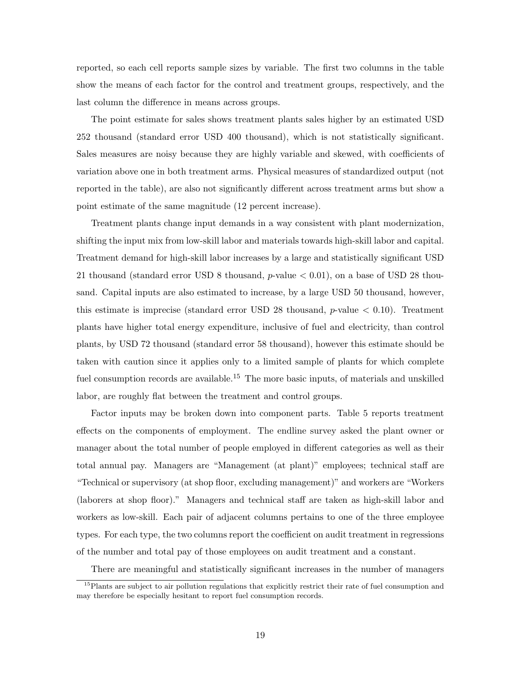reported, so each cell reports sample sizes by variable. The first two columns in the table show the means of each factor for the control and treatment groups, respectively, and the last column the difference in means across groups.

The point estimate for sales shows treatment plants sales higher by an estimated USD 252 thousand (standard error USD 400 thousand), which is not statistically significant. Sales measures are noisy because they are highly variable and skewed, with coefficients of variation above one in both treatment arms. Physical measures of standardized output (not reported in the table), are also not significantly different across treatment arms but show a point estimate of the same magnitude (12 percent increase).

Treatment plants change input demands in a way consistent with plant modernization, shifting the input mix from low-skill labor and materials towards high-skill labor and capital. Treatment demand for high-skill labor increases by a large and statistically significant USD 21 thousand (standard error USD 8 thousand,  $p$ -value  $< 0.01$ ), on a base of USD 28 thousand. Capital inputs are also estimated to increase, by a large USD 50 thousand, however, this estimate is imprecise (standard error USD 28 thousand,  $p$ -value  $\lt$  0.10). Treatment plants have higher total energy expenditure, inclusive of fuel and electricity, than control plants, by USD 72 thousand (standard error 58 thousand), however this estimate should be taken with caution since it applies only to a limited sample of plants for which complete fuel consumption records are available.<sup>15</sup> The more basic inputs, of materials and unskilled labor, are roughly flat between the treatment and control groups.

Factor inputs may be broken down into component parts. Table 5 reports treatment effects on the components of employment. The endline survey asked the plant owner or manager about the total number of people employed in different categories as well as their total annual pay. Managers are "Management (at plant)" employees; technical staff are "Technical or supervisory (at shop floor, excluding management)" and workers are "Workers (laborers at shop floor)." Managers and technical staff are taken as high-skill labor and workers as low-skill. Each pair of adjacent columns pertains to one of the three employee types. For each type, the two columns report the coefficient on audit treatment in regressions of the number and total pay of those employees on audit treatment and a constant.

There are meaningful and statistically significant increases in the number of managers

<sup>&</sup>lt;sup>15</sup>Plants are subject to air pollution regulations that explicitly restrict their rate of fuel consumption and may therefore be especially hesitant to report fuel consumption records.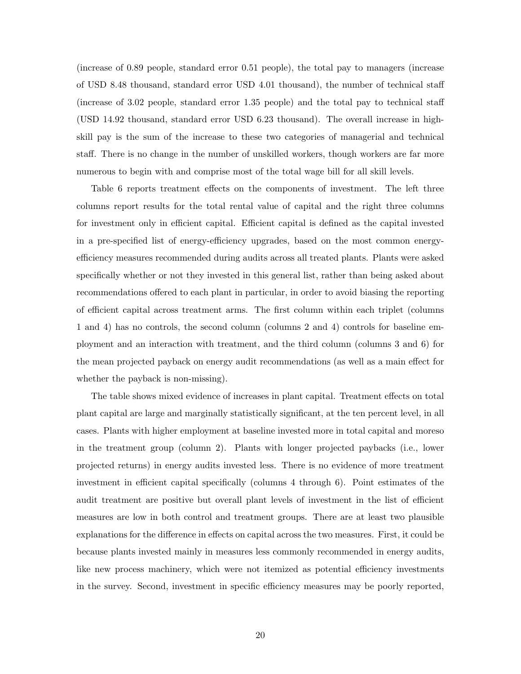(increase of 0.89 people, standard error 0.51 people), the total pay to managers (increase of USD 8.48 thousand, standard error USD 4.01 thousand), the number of technical staff (increase of 3.02 people, standard error 1.35 people) and the total pay to technical staff (USD 14.92 thousand, standard error USD 6.23 thousand). The overall increase in highskill pay is the sum of the increase to these two categories of managerial and technical staff. There is no change in the number of unskilled workers, though workers are far more numerous to begin with and comprise most of the total wage bill for all skill levels.

Table 6 reports treatment effects on the components of investment. The left three columns report results for the total rental value of capital and the right three columns for investment only in efficient capital. Efficient capital is defined as the capital invested in a pre-specified list of energy-efficiency upgrades, based on the most common energyefficiency measures recommended during audits across all treated plants. Plants were asked specifically whether or not they invested in this general list, rather than being asked about recommendations offered to each plant in particular, in order to avoid biasing the reporting of efficient capital across treatment arms. The first column within each triplet (columns 1 and 4) has no controls, the second column (columns 2 and 4) controls for baseline employment and an interaction with treatment, and the third column (columns 3 and 6) for the mean projected payback on energy audit recommendations (as well as a main effect for whether the payback is non-missing).

The table shows mixed evidence of increases in plant capital. Treatment effects on total plant capital are large and marginally statistically significant, at the ten percent level, in all cases. Plants with higher employment at baseline invested more in total capital and moreso in the treatment group (column 2). Plants with longer projected paybacks (i.e., lower projected returns) in energy audits invested less. There is no evidence of more treatment investment in efficient capital specifically (columns 4 through 6). Point estimates of the audit treatment are positive but overall plant levels of investment in the list of efficient measures are low in both control and treatment groups. There are at least two plausible explanations for the difference in effects on capital across the two measures. First, it could be because plants invested mainly in measures less commonly recommended in energy audits, like new process machinery, which were not itemized as potential efficiency investments in the survey. Second, investment in specific efficiency measures may be poorly reported,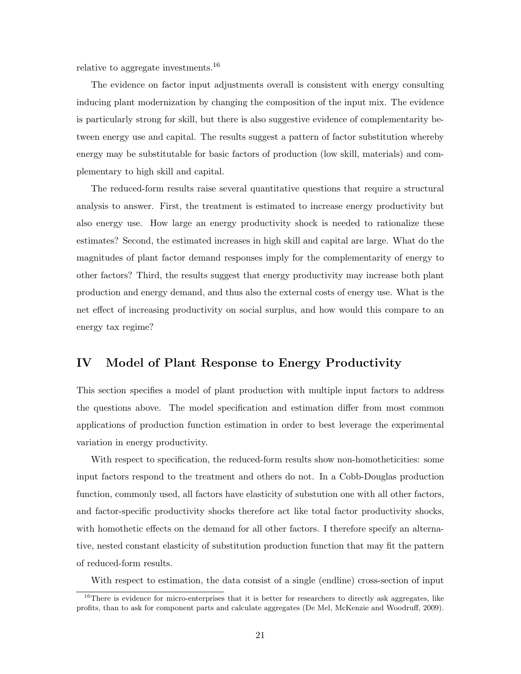relative to aggregate investments.<sup>16</sup>

The evidence on factor input adjustments overall is consistent with energy consulting inducing plant modernization by changing the composition of the input mix. The evidence is particularly strong for skill, but there is also suggestive evidence of complementarity between energy use and capital. The results suggest a pattern of factor substitution whereby energy may be substitutable for basic factors of production (low skill, materials) and complementary to high skill and capital.

The reduced-form results raise several quantitative questions that require a structural analysis to answer. First, the treatment is estimated to increase energy productivity but also energy use. How large an energy productivity shock is needed to rationalize these estimates? Second, the estimated increases in high skill and capital are large. What do the magnitudes of plant factor demand responses imply for the complementarity of energy to other factors? Third, the results suggest that energy productivity may increase both plant production and energy demand, and thus also the external costs of energy use. What is the net effect of increasing productivity on social surplus, and how would this compare to an energy tax regime?

## IV Model of Plant Response to Energy Productivity

This section specifies a model of plant production with multiple input factors to address the questions above. The model specification and estimation differ from most common applications of production function estimation in order to best leverage the experimental variation in energy productivity.

With respect to specification, the reduced-form results show non-homotheticities: some input factors respond to the treatment and others do not. In a Cobb-Douglas production function, commonly used, all factors have elasticity of substution one with all other factors, and factor-specific productivity shocks therefore act like total factor productivity shocks, with homothetic effects on the demand for all other factors. I therefore specify an alternative, nested constant elasticity of substitution production function that may fit the pattern of reduced-form results.

With respect to estimation, the data consist of a single (endline) cross-section of input

<sup>&</sup>lt;sup>16</sup>There is evidence for micro-enterprises that it is better for researchers to directly ask aggregates, like profits, than to ask for component parts and calculate aggregates (De Mel, McKenzie and Woodruff, 2009).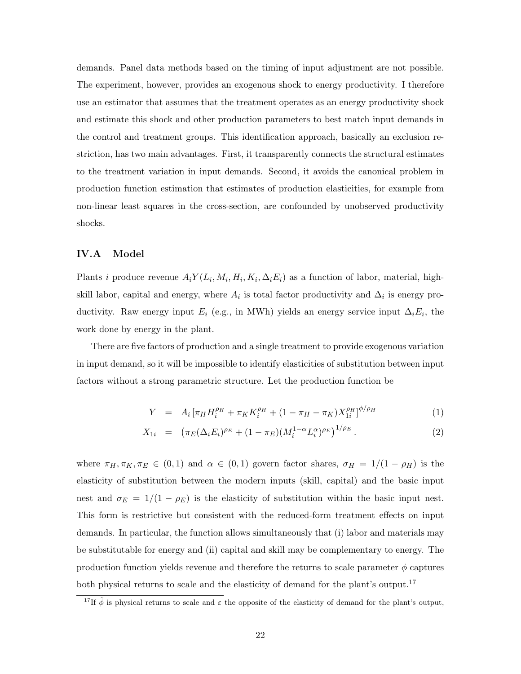demands. Panel data methods based on the timing of input adjustment are not possible. The experiment, however, provides an exogenous shock to energy productivity. I therefore use an estimator that assumes that the treatment operates as an energy productivity shock and estimate this shock and other production parameters to best match input demands in the control and treatment groups. This identification approach, basically an exclusion restriction, has two main advantages. First, it transparently connects the structural estimates to the treatment variation in input demands. Second, it avoids the canonical problem in production function estimation that estimates of production elasticities, for example from non-linear least squares in the cross-section, are confounded by unobserved productivity shocks.

#### IV.A Model

Plants *i* produce revenue  $A_i Y(L_i, M_i, H_i, K_i, \Delta_i E_i)$  as a function of labor, material, highskill labor, capital and energy, where  $A_i$  is total factor productivity and  $\Delta_i$  is energy productivity. Raw energy input  $E_i$  (e.g., in MWh) yields an energy service input  $\Delta_i E_i$ , the work done by energy in the plant.

There are five factors of production and a single treatment to provide exogenous variation in input demand, so it will be impossible to identify elasticities of substitution between input factors without a strong parametric structure. Let the production function be

$$
Y = A_i \left[ \pi_H H_i^{\rho H} + \pi_K K_i^{\rho H} + (1 - \pi_H - \pi_K) X_{1i}^{\rho H} \right]^{ \phi / \rho H}
$$
 (1)

$$
X_{1i} = (\pi_E(\Delta_i E_i)^{\rho_E} + (1 - \pi_E)(M_i^{1-\alpha} L_i^{\alpha})^{\rho_E})^{1/\rho_E}.
$$
 (2)

where  $\pi_H, \pi_K, \pi_E \in (0, 1)$  and  $\alpha \in (0, 1)$  govern factor shares,  $\sigma_H = 1/(1 - \rho_H)$  is the elasticity of substitution between the modern inputs (skill, capital) and the basic input nest and  $\sigma_E = 1/(1 - \rho_E)$  is the elasticity of substitution within the basic input nest. This form is restrictive but consistent with the reduced-form treatment effects on input demands. In particular, the function allows simultaneously that (i) labor and materials may be substitutable for energy and (ii) capital and skill may be complementary to energy. The production function yields revenue and therefore the returns to scale parameter  $\phi$  captures both physical returns to scale and the elasticity of demand for the plant's output.<sup>17</sup>

<sup>&</sup>lt;sup>17</sup>If  $\tilde{\phi}$  is physical returns to scale and  $\varepsilon$  the opposite of the elasticity of demand for the plant's output,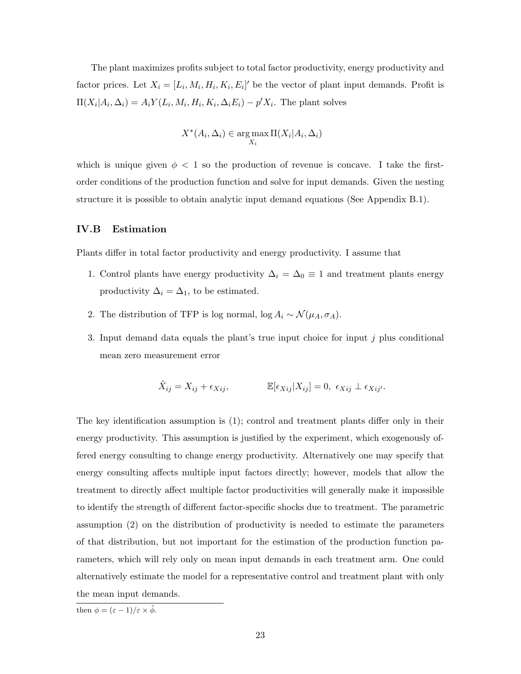The plant maximizes profits subject to total factor productivity, energy productivity and factor prices. Let  $X_i = [L_i, M_i, H_i, K_i, E_i]'$  be the vector of plant input demands. Profit is  $\Pi(X_i|A_i, \Delta_i) = A_i Y(L_i, M_i, H_i, K_i, \Delta_i E_i) - p' X_i$ . The plant solves

$$
X^*(A_i, \Delta_i) \in \arg\max_{X_i} \Pi(X_i | A_i, \Delta_i)
$$

which is unique given  $\phi$  < 1 so the production of revenue is concave. I take the firstorder conditions of the production function and solve for input demands. Given the nesting structure it is possible to obtain analytic input demand equations (See Appendix B.1).

### IV.B Estimation

Plants differ in total factor productivity and energy productivity. I assume that

- 1. Control plants have energy productivity  $\Delta_i = \Delta_0 \equiv 1$  and treatment plants energy productivity  $\Delta_i = \Delta_1$ , to be estimated.
- 2. The distribution of TFP is log normal, log  $A_i \sim \mathcal{N}(\mu_A, \sigma_A)$ .
- 3. Input demand data equals the plant's true input choice for input  $j$  plus conditional mean zero measurement error

$$
\tilde{X}_{ij} = X_{ij} + \epsilon_{Xij}, \qquad \mathbb{E}[\epsilon_{Xij}|X_{ij}] = 0, \ \epsilon_{Xij} \perp \epsilon_{Xij'}.
$$

The key identification assumption is (1); control and treatment plants differ only in their energy productivity. This assumption is justified by the experiment, which exogenously offered energy consulting to change energy productivity. Alternatively one may specify that energy consulting affects multiple input factors directly; however, models that allow the treatment to directly affect multiple factor productivities will generally make it impossible to identify the strength of different factor-specific shocks due to treatment. The parametric assumption (2) on the distribution of productivity is needed to estimate the parameters of that distribution, but not important for the estimation of the production function parameters, which will rely only on mean input demands in each treatment arm. One could alternatively estimate the model for a representative control and treatment plant with only the mean input demands.

then  $\phi = (\varepsilon - 1)/\varepsilon \times \tilde{\phi}$ .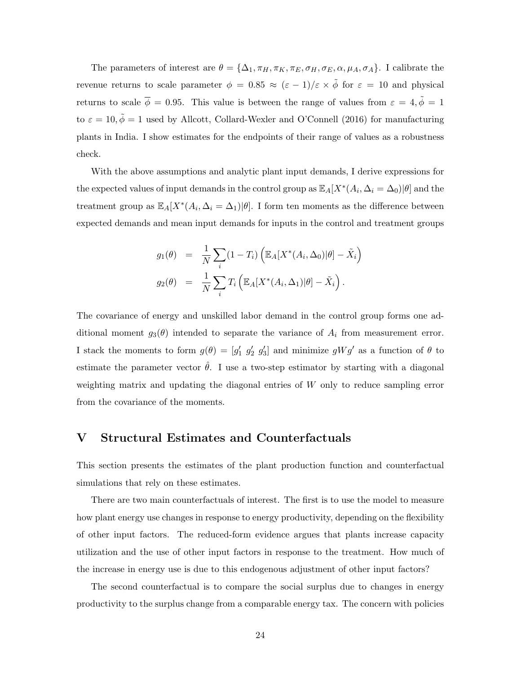The parameters of interest are  $\theta = {\Delta_1, \pi_H, \pi_K, \pi_E, \sigma_H, \sigma_E, \alpha, \mu_A, \sigma_A}$ . I calibrate the revenue returns to scale parameter  $\phi = 0.85 \approx (\varepsilon - 1)/\varepsilon \times \tilde{\phi}$  for  $\varepsilon = 10$  and physical returns to scale  $\overline{\phi} = 0.95$ . This value is between the range of values from  $\varepsilon = 4, \tilde{\phi} = 1$ to  $\varepsilon = 10, \tilde{\phi} = 1$  used by Allcott, Collard-Wexler and O'Connell (2016) for manufacturing plants in India. I show estimates for the endpoints of their range of values as a robustness check.

With the above assumptions and analytic plant input demands, I derive expressions for the expected values of input demands in the control group as  $\mathbb{E}_A[X^*(A_i, \Delta_i = \Delta_0)|\theta]$  and the treatment group as  $\mathbb{E}_A[X^*(A_i, \Delta_i = \Delta_1)|\theta]$ . I form ten moments as the difference between expected demands and mean input demands for inputs in the control and treatment groups

$$
g_1(\theta) = \frac{1}{N} \sum_i (1 - T_i) \left( \mathbb{E}_A[X^*(A_i, \Delta_0)|\theta] - \tilde{X}_i \right)
$$
  

$$
g_2(\theta) = \frac{1}{N} \sum_i T_i \left( \mathbb{E}_A[X^*(A_i, \Delta_1)|\theta] - \tilde{X}_i \right).
$$

The covariance of energy and unskilled labor demand in the control group forms one additional moment  $g_3(\theta)$  intended to separate the variance of  $A_i$  from measurement error. I stack the moments to form  $g(\theta) = [g'_1 \ g'_2 \ g'_3]$  and minimize  $gWg'$  as a function of  $\theta$  to estimate the parameter vector  $\hat{\theta}$ . I use a two-step estimator by starting with a diagonal weighting matrix and updating the diagonal entries of W only to reduce sampling error from the covariance of the moments.

## V Structural Estimates and Counterfactuals

This section presents the estimates of the plant production function and counterfactual simulations that rely on these estimates.

There are two main counterfactuals of interest. The first is to use the model to measure how plant energy use changes in response to energy productivity, depending on the flexibility of other input factors. The reduced-form evidence argues that plants increase capacity utilization and the use of other input factors in response to the treatment. How much of the increase in energy use is due to this endogenous adjustment of other input factors?

The second counterfactual is to compare the social surplus due to changes in energy productivity to the surplus change from a comparable energy tax. The concern with policies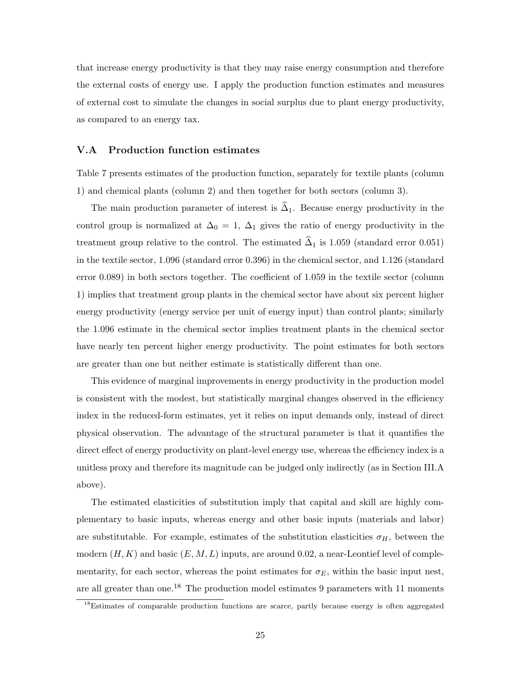that increase energy productivity is that they may raise energy consumption and therefore the external costs of energy use. I apply the production function estimates and measures of external cost to simulate the changes in social surplus due to plant energy productivity, as compared to an energy tax.

#### V.A Production function estimates

Table 7 presents estimates of the production function, separately for textile plants (column 1) and chemical plants (column 2) and then together for both sectors (column 3).

The main production parameter of interest is  $\hat{\Delta}_1$ . Because energy productivity in the control group is normalized at  $\Delta_0 = 1$ ,  $\Delta_1$  gives the ratio of energy productivity in the treatment group relative to the control. The estimated  $\hat{\Delta}_1$  is 1.059 (standard error 0.051) in the textile sector, 1.096 (standard error 0.396) in the chemical sector, and 1.126 (standard error 0.089) in both sectors together. The coefficient of 1.059 in the textile sector (column 1) implies that treatment group plants in the chemical sector have about six percent higher energy productivity (energy service per unit of energy input) than control plants; similarly the 1.096 estimate in the chemical sector implies treatment plants in the chemical sector have nearly ten percent higher energy productivity. The point estimates for both sectors are greater than one but neither estimate is statistically different than one.

This evidence of marginal improvements in energy productivity in the production model is consistent with the modest, but statistically marginal changes observed in the efficiency index in the reduced-form estimates, yet it relies on input demands only, instead of direct physical observation. The advantage of the structural parameter is that it quantifies the direct effect of energy productivity on plant-level energy use, whereas the efficiency index is a unitless proxy and therefore its magnitude can be judged only indirectly (as in Section III.A above).

The estimated elasticities of substitution imply that capital and skill are highly complementary to basic inputs, whereas energy and other basic inputs (materials and labor) are substitutable. For example, estimates of the substitution elasticities  $\sigma_H$ , between the modern  $(H, K)$  and basic  $(E, M, L)$  inputs, are around 0.02, a near-Leontief level of complementarity, for each sector, whereas the point estimates for  $\sigma_E$ , within the basic input nest, are all greater than one.<sup>18</sup> The production model estimates 9 parameters with 11 moments

<sup>&</sup>lt;sup>18</sup>Estimates of comparable production functions are scarce, partly because energy is often aggregated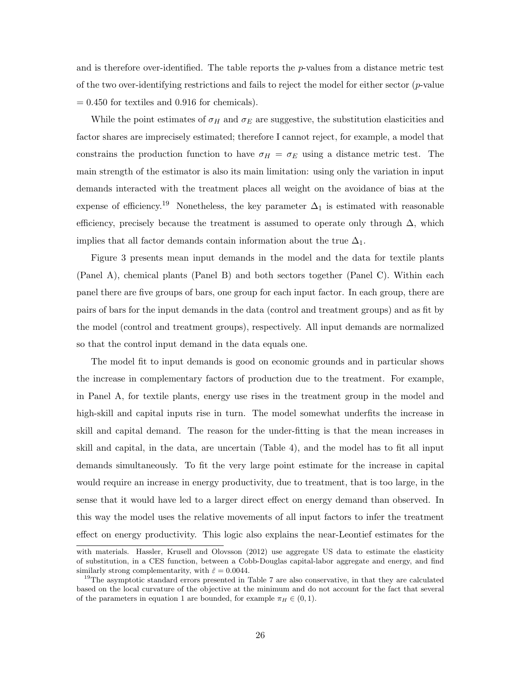and is therefore over-identified. The table reports the  $p$ -values from a distance metric test of the two over-identifying restrictions and fails to reject the model for either sector (p-value  $= 0.450$  for textiles and 0.916 for chemicals).

While the point estimates of  $\sigma_H$  and  $\sigma_E$  are suggestive, the substitution elasticities and factor shares are imprecisely estimated; therefore I cannot reject, for example, a model that constrains the production function to have  $\sigma_H = \sigma_E$  using a distance metric test. The main strength of the estimator is also its main limitation: using only the variation in input demands interacted with the treatment places all weight on the avoidance of bias at the expense of efficiency.<sup>19</sup> Nonetheless, the key parameter  $\Delta_1$  is estimated with reasonable efficiency, precisely because the treatment is assumed to operate only through  $\Delta$ , which implies that all factor demands contain information about the true  $\Delta_1$ .

Figure 3 presents mean input demands in the model and the data for textile plants (Panel A), chemical plants (Panel B) and both sectors together (Panel C). Within each panel there are five groups of bars, one group for each input factor. In each group, there are pairs of bars for the input demands in the data (control and treatment groups) and as fit by the model (control and treatment groups), respectively. All input demands are normalized so that the control input demand in the data equals one.

The model fit to input demands is good on economic grounds and in particular shows the increase in complementary factors of production due to the treatment. For example, in Panel A, for textile plants, energy use rises in the treatment group in the model and high-skill and capital inputs rise in turn. The model somewhat underfits the increase in skill and capital demand. The reason for the under-fitting is that the mean increases in skill and capital, in the data, are uncertain (Table 4), and the model has to fit all input demands simultaneously. To fit the very large point estimate for the increase in capital would require an increase in energy productivity, due to treatment, that is too large, in the sense that it would have led to a larger direct effect on energy demand than observed. In this way the model uses the relative movements of all input factors to infer the treatment effect on energy productivity. This logic also explains the near-Leontief estimates for the

with materials. Hassler, Krusell and Olovsson (2012) use aggregate US data to estimate the elasticity of substitution, in a CES function, between a Cobb-Douglas capital-labor aggregate and energy, and find similarly strong complementarity, with  $\hat{\varepsilon} = 0.0044$ .

 $19$ The asymptotic standard errors presented in Table 7 are also conservative, in that they are calculated based on the local curvature of the objective at the minimum and do not account for the fact that several of the parameters in equation 1 are bounded, for example  $\pi_H \in (0, 1)$ .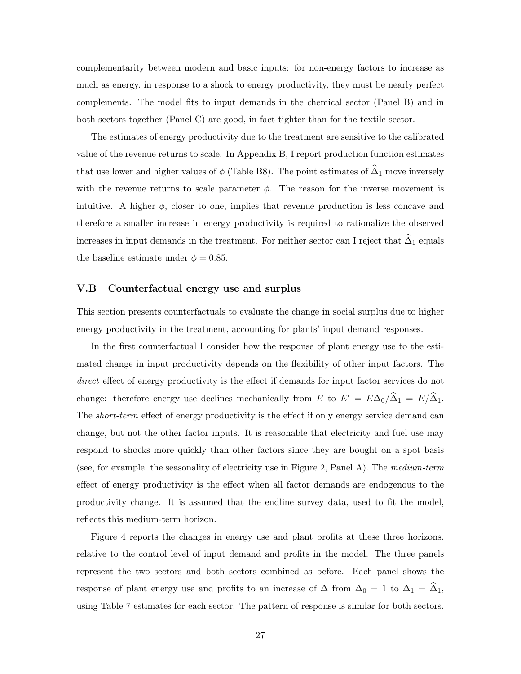complementarity between modern and basic inputs: for non-energy factors to increase as much as energy, in response to a shock to energy productivity, they must be nearly perfect complements. The model fits to input demands in the chemical sector (Panel B) and in both sectors together (Panel C) are good, in fact tighter than for the textile sector.

The estimates of energy productivity due to the treatment are sensitive to the calibrated value of the revenue returns to scale. In Appendix B, I report production function estimates that use lower and higher values of  $\phi$  (Table B8). The point estimates of  $\widehat{\Delta}_1$  move inversely with the revenue returns to scale parameter  $\phi$ . The reason for the inverse movement is intuitive. A higher  $\phi$ , closer to one, implies that revenue production is less concave and therefore a smaller increase in energy productivity is required to rationalize the observed increases in input demands in the treatment. For neither sector can I reject that  $\widehat{\Delta}_1$  equals the baseline estimate under  $\phi = 0.85$ .

#### V.B Counterfactual energy use and surplus

This section presents counterfactuals to evaluate the change in social surplus due to higher energy productivity in the treatment, accounting for plants' input demand responses.

In the first counterfactual I consider how the response of plant energy use to the estimated change in input productivity depends on the flexibility of other input factors. The direct effect of energy productivity is the effect if demands for input factor services do not change: therefore energy use declines mechanically from E to  $E' = E\Delta_0/\widehat{\Delta}_1 = E/\widehat{\Delta}_1$ . The *short-term* effect of energy productivity is the effect if only energy service demand can change, but not the other factor inputs. It is reasonable that electricity and fuel use may respond to shocks more quickly than other factors since they are bought on a spot basis (see, for example, the seasonality of electricity use in Figure 2, Panel A). The medium-term effect of energy productivity is the effect when all factor demands are endogenous to the productivity change. It is assumed that the endline survey data, used to fit the model, reflects this medium-term horizon.

Figure 4 reports the changes in energy use and plant profits at these three horizons, relative to the control level of input demand and profits in the model. The three panels represent the two sectors and both sectors combined as before. Each panel shows the response of plant energy use and profits to an increase of  $\Delta$  from  $\Delta_0 = 1$  to  $\Delta_1 = \Delta_1$ , using Table 7 estimates for each sector. The pattern of response is similar for both sectors.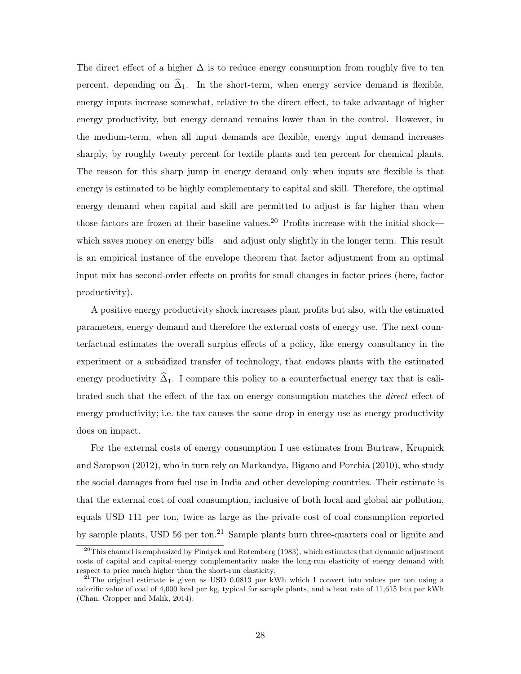The direct effect of a higher  $\Delta$  is to reduce energy consumption from roughly five to ten percent, depending on  $\widehat{\Delta}_1$ . In the short-term, when energy service demand is flexible, energy inputs increase somewhat, relative to the direct effect, to take advantage of higher energy productivity, but energy demand remains lower than in the control. However, in the medium-term, when all input demands are flexible, energy input demand increases sharply, by roughly twenty percent for textile plants and ten percent for chemical plants. The reason for this sharp jump in energy demand only when inputs are flexible is that energy is estimated to be highly complementary to capital and skill. Therefore, the optimal energy demand when capital and skill are permitted to adjust is far higher than when those factors are frozen at their baseline values.<sup>20</sup> Profits increase with the initial shock which saves money on energy bills—and adjust only slightly in the longer term. This result is an empirical instance of the envelope theorem that factor adjustment from an optimal input mix has second-order effects on profits for small changes in factor prices (here, factor productivity).

A positive energy productivity shock increases plant profits but also, with the estimated parameters, energy demand and therefore the external costs of energy use. The next counterfactual estimates the overall surplus effects of a policy, like energy consultancy in the experiment or a subsidized transfer of technology, that endows plants with the estimated energy productivity  $\hat{\Delta}_1$ . I compare this policy to a counterfactual energy tax that is calibrated such that the effect of the tax on energy consumption matches the direct effect of energy productivity; i.e. the tax causes the same drop in energy use as energy productivity does on impact.

For the external costs of energy consumption I use estimates from Burtraw, Krupnick and Sampson (2012), who in turn rely on Markandya, Bigano and Porchia (2010), who study the social damages from fuel use in India and other developing countries. Their estimate is that the external cost of coal consumption, inclusive of both local and global air pollution, equals USD 111 per ton, twice as large as the private cost of coal consumption reported by sample plants, USD  $56$  per ton.<sup>21</sup> Sample plants burn three-quarters coal or lignite and

 $^{20}$ This channel is emphasized by Pindyck and Rotemberg (1983), which estimates that dynamic adjustment costs of capital and capital-energy complementarity make the long-run elasticity of energy demand with respect to price much higher than the short-run elasticity.

 $^{21}$ The original estimate is given as USD 0.0813 per kWh which I convert into values per ton using a calorific value of coal of 4,000 kcal per kg, typical for sample plants, and a heat rate of 11,615 btu per kWh (Chan, Cropper and Malik, 2014).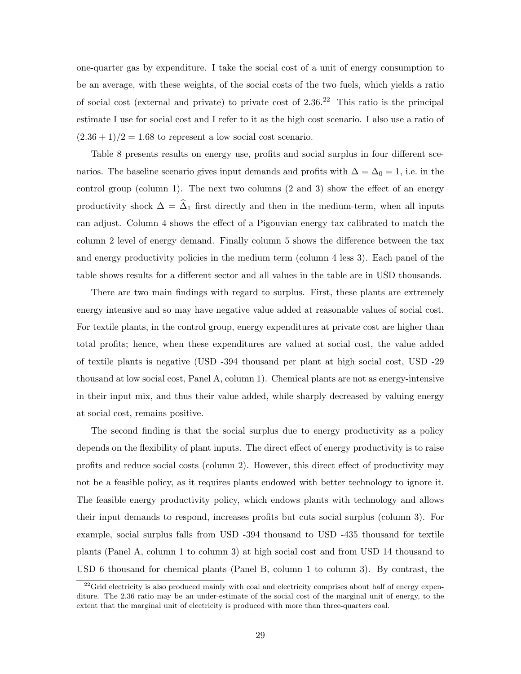one-quarter gas by expenditure. I take the social cost of a unit of energy consumption to be an average, with these weights, of the social costs of the two fuels, which yields a ratio of social cost (external and private) to private cost of  $2.36<sup>22</sup>$  This ratio is the principal estimate I use for social cost and I refer to it as the high cost scenario. I also use a ratio of  $(2.36 + 1)/2 = 1.68$  to represent a low social cost scenario.

Table 8 presents results on energy use, profits and social surplus in four different scenarios. The baseline scenario gives input demands and profits with  $\Delta = \Delta_0 = 1$ , i.e. in the control group (column 1). The next two columns (2 and 3) show the effect of an energy productivity shock  $\Delta = \hat{\Delta}_1$  first directly and then in the medium-term, when all inputs can adjust. Column 4 shows the effect of a Pigouvian energy tax calibrated to match the column 2 level of energy demand. Finally column 5 shows the difference between the tax and energy productivity policies in the medium term (column 4 less 3). Each panel of the table shows results for a different sector and all values in the table are in USD thousands.

There are two main findings with regard to surplus. First, these plants are extremely energy intensive and so may have negative value added at reasonable values of social cost. For textile plants, in the control group, energy expenditures at private cost are higher than total profits; hence, when these expenditures are valued at social cost, the value added of textile plants is negative (USD -394 thousand per plant at high social cost, USD -29 thousand at low social cost, Panel A, column 1). Chemical plants are not as energy-intensive in their input mix, and thus their value added, while sharply decreased by valuing energy at social cost, remains positive.

The second finding is that the social surplus due to energy productivity as a policy depends on the flexibility of plant inputs. The direct effect of energy productivity is to raise profits and reduce social costs (column 2). However, this direct effect of productivity may not be a feasible policy, as it requires plants endowed with better technology to ignore it. The feasible energy productivity policy, which endows plants with technology and allows their input demands to respond, increases profits but cuts social surplus (column 3). For example, social surplus falls from USD -394 thousand to USD -435 thousand for textile plants (Panel A, column 1 to column 3) at high social cost and from USD 14 thousand to USD 6 thousand for chemical plants (Panel B, column 1 to column 3). By contrast, the

 $^{22}$ Grid electricity is also produced mainly with coal and electricity comprises about half of energy expenditure. The 2.36 ratio may be an under-estimate of the social cost of the marginal unit of energy, to the extent that the marginal unit of electricity is produced with more than three-quarters coal.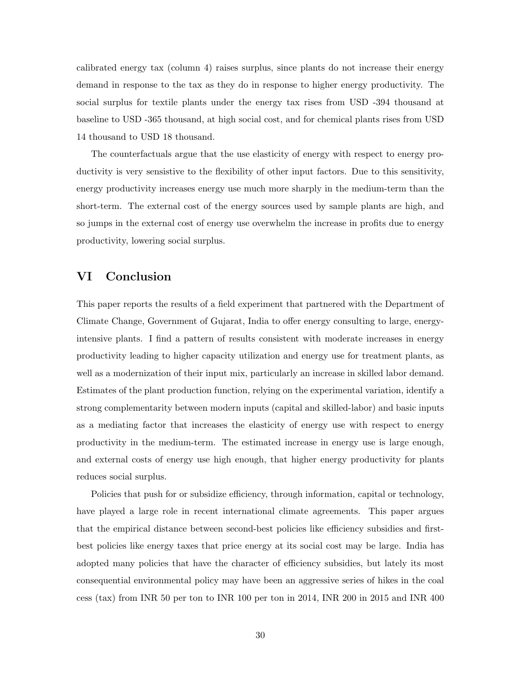calibrated energy tax (column 4) raises surplus, since plants do not increase their energy demand in response to the tax as they do in response to higher energy productivity. The social surplus for textile plants under the energy tax rises from USD -394 thousand at baseline to USD -365 thousand, at high social cost, and for chemical plants rises from USD 14 thousand to USD 18 thousand.

The counterfactuals argue that the use elasticity of energy with respect to energy productivity is very sensistive to the flexibility of other input factors. Due to this sensitivity, energy productivity increases energy use much more sharply in the medium-term than the short-term. The external cost of the energy sources used by sample plants are high, and so jumps in the external cost of energy use overwhelm the increase in profits due to energy productivity, lowering social surplus.

## VI Conclusion

This paper reports the results of a field experiment that partnered with the Department of Climate Change, Government of Gujarat, India to offer energy consulting to large, energyintensive plants. I find a pattern of results consistent with moderate increases in energy productivity leading to higher capacity utilization and energy use for treatment plants, as well as a modernization of their input mix, particularly an increase in skilled labor demand. Estimates of the plant production function, relying on the experimental variation, identify a strong complementarity between modern inputs (capital and skilled-labor) and basic inputs as a mediating factor that increases the elasticity of energy use with respect to energy productivity in the medium-term. The estimated increase in energy use is large enough, and external costs of energy use high enough, that higher energy productivity for plants reduces social surplus.

Policies that push for or subsidize efficiency, through information, capital or technology, have played a large role in recent international climate agreements. This paper argues that the empirical distance between second-best policies like efficiency subsidies and firstbest policies like energy taxes that price energy at its social cost may be large. India has adopted many policies that have the character of efficiency subsidies, but lately its most consequential environmental policy may have been an aggressive series of hikes in the coal cess (tax) from INR 50 per ton to INR 100 per ton in 2014, INR 200 in 2015 and INR 400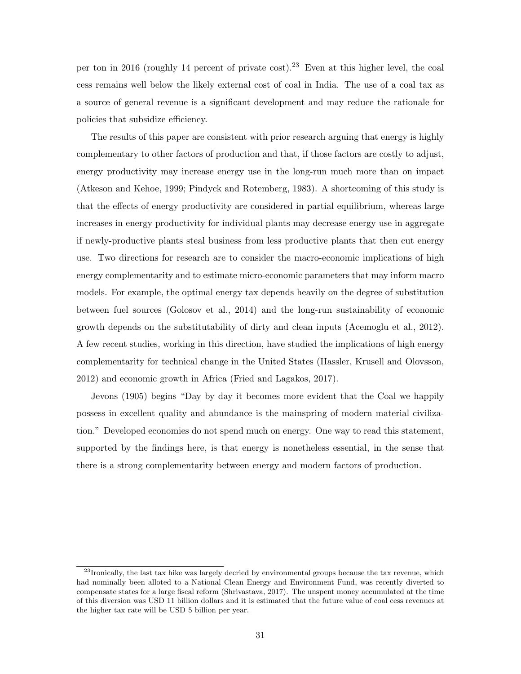per ton in 2016 (roughly 14 percent of private cost).<sup>23</sup> Even at this higher level, the coal cess remains well below the likely external cost of coal in India. The use of a coal tax as a source of general revenue is a significant development and may reduce the rationale for policies that subsidize efficiency.

The results of this paper are consistent with prior research arguing that energy is highly complementary to other factors of production and that, if those factors are costly to adjust, energy productivity may increase energy use in the long-run much more than on impact (Atkeson and Kehoe, 1999; Pindyck and Rotemberg, 1983). A shortcoming of this study is that the effects of energy productivity are considered in partial equilibrium, whereas large increases in energy productivity for individual plants may decrease energy use in aggregate if newly-productive plants steal business from less productive plants that then cut energy use. Two directions for research are to consider the macro-economic implications of high energy complementarity and to estimate micro-economic parameters that may inform macro models. For example, the optimal energy tax depends heavily on the degree of substitution between fuel sources (Golosov et al., 2014) and the long-run sustainability of economic growth depends on the substitutability of dirty and clean inputs (Acemoglu et al., 2012). A few recent studies, working in this direction, have studied the implications of high energy complementarity for technical change in the United States (Hassler, Krusell and Olovsson, 2012) and economic growth in Africa (Fried and Lagakos, 2017).

Jevons (1905) begins "Day by day it becomes more evident that the Coal we happily possess in excellent quality and abundance is the mainspring of modern material civilization." Developed economies do not spend much on energy. One way to read this statement, supported by the findings here, is that energy is nonetheless essential, in the sense that there is a strong complementarity between energy and modern factors of production.

<sup>&</sup>lt;sup>23</sup>Ironically, the last tax hike was largely decried by environmental groups because the tax revenue, which had nominally been alloted to a National Clean Energy and Environment Fund, was recently diverted to compensate states for a large fiscal reform (Shrivastava, 2017). The unspent money accumulated at the time of this diversion was USD 11 billion dollars and it is estimated that the future value of coal cess revenues at the higher tax rate will be USD 5 billion per year.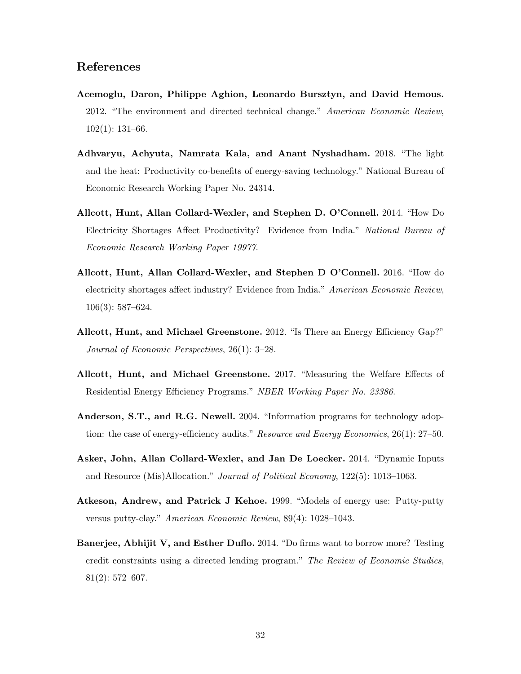## References

- Acemoglu, Daron, Philippe Aghion, Leonardo Bursztyn, and David Hemous. 2012. "The environment and directed technical change." American Economic Review, 102(1): 131–66.
- Adhvaryu, Achyuta, Namrata Kala, and Anant Nyshadham. 2018. "The light and the heat: Productivity co-benefits of energy-saving technology." National Bureau of Economic Research Working Paper No. 24314.
- Allcott, Hunt, Allan Collard-Wexler, and Stephen D. O'Connell. 2014. "How Do Electricity Shortages Affect Productivity? Evidence from India." National Bureau of Economic Research Working Paper 19977.
- Allcott, Hunt, Allan Collard-Wexler, and Stephen D O'Connell. 2016. "How do electricity shortages affect industry? Evidence from India." American Economic Review, 106(3): 587–624.
- Allcott, Hunt, and Michael Greenstone. 2012. "Is There an Energy Efficiency Gap?" Journal of Economic Perspectives, 26(1): 3–28.
- Allcott, Hunt, and Michael Greenstone. 2017. "Measuring the Welfare Effects of Residential Energy Efficiency Programs." NBER Working Paper No. 23386.
- Anderson, S.T., and R.G. Newell. 2004. "Information programs for technology adoption: the case of energy-efficiency audits." Resource and Energy Economics, 26(1): 27–50.
- Asker, John, Allan Collard-Wexler, and Jan De Loecker. 2014. "Dynamic Inputs and Resource (Mis)Allocation." Journal of Political Economy, 122(5): 1013–1063.
- Atkeson, Andrew, and Patrick J Kehoe. 1999. "Models of energy use: Putty-putty versus putty-clay." American Economic Review, 89(4): 1028–1043.
- Banerjee, Abhijit V, and Esther Duflo. 2014. "Do firms want to borrow more? Testing credit constraints using a directed lending program." The Review of Economic Studies, 81(2): 572–607.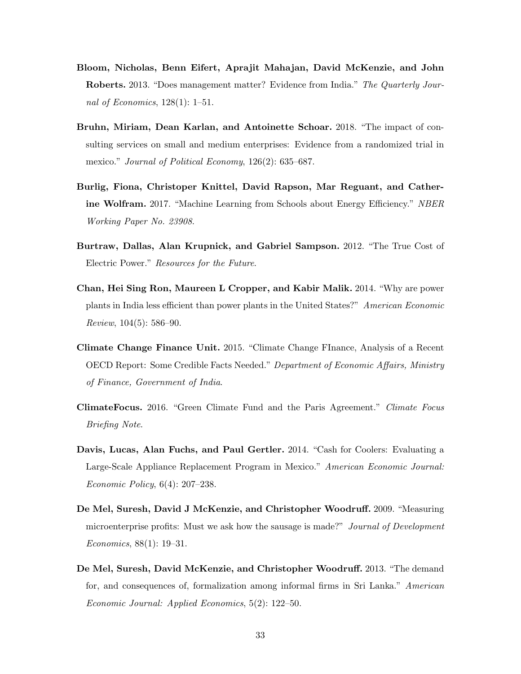- Bloom, Nicholas, Benn Eifert, Aprajit Mahajan, David McKenzie, and John Roberts. 2013. "Does management matter? Evidence from India." The Quarterly Journal of Economics,  $128(1)$ : 1–51.
- Bruhn, Miriam, Dean Karlan, and Antoinette Schoar. 2018. "The impact of consulting services on small and medium enterprises: Evidence from a randomized trial in mexico." Journal of Political Economy, 126(2): 635–687.
- Burlig, Fiona, Christoper Knittel, David Rapson, Mar Reguant, and Catherine Wolfram. 2017. "Machine Learning from Schools about Energy Efficiency." NBER Working Paper No. 23908.
- Burtraw, Dallas, Alan Krupnick, and Gabriel Sampson. 2012. "The True Cost of Electric Power." Resources for the Future.
- Chan, Hei Sing Ron, Maureen L Cropper, and Kabir Malik. 2014. "Why are power plants in India less efficient than power plants in the United States?" American Economic Review, 104(5): 586–90.
- Climate Change Finance Unit. 2015. "Climate Change FInance, Analysis of a Recent OECD Report: Some Credible Facts Needed." Department of Economic Affairs, Ministry of Finance, Government of India.
- ClimateFocus. 2016. "Green Climate Fund and the Paris Agreement." Climate Focus Briefing Note.
- Davis, Lucas, Alan Fuchs, and Paul Gertler. 2014. "Cash for Coolers: Evaluating a Large-Scale Appliance Replacement Program in Mexico." American Economic Journal: Economic Policy, 6(4): 207–238.
- De Mel, Suresh, David J McKenzie, and Christopher Woodruff. 2009. "Measuring microenterprise profits: Must we ask how the sausage is made?" Journal of Development Economics, 88(1): 19–31.
- De Mel, Suresh, David McKenzie, and Christopher Woodruff. 2013. "The demand for, and consequences of, formalization among informal firms in Sri Lanka." American Economic Journal: Applied Economics, 5(2): 122–50.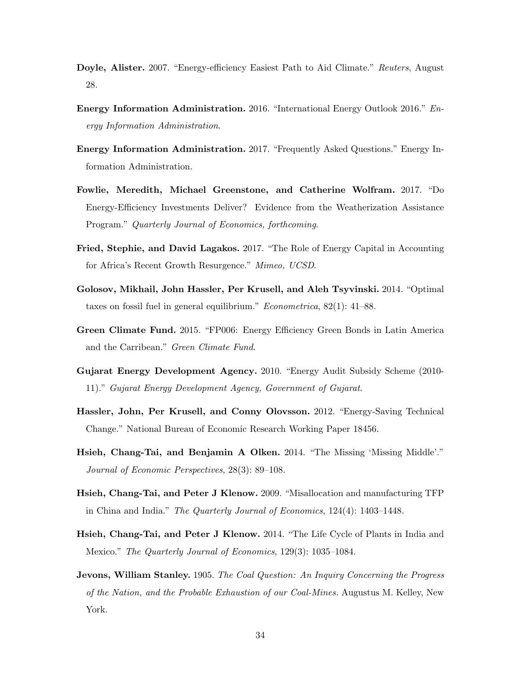- Doyle, Alister. 2007. "Energy-efficiency Easiest Path to Aid Climate." Reuters, August 28.
- Energy Information Administration. 2016. "International Energy Outlook 2016." Energy Information Administration.
- Energy Information Administration. 2017. "Frequently Asked Questions." Energy Information Administration.
- Fowlie, Meredith, Michael Greenstone, and Catherine Wolfram. 2017. "Do Energy-Efficiency Investments Deliver? Evidence from the Weatherization Assistance Program." Quarterly Journal of Economics, forthcoming.
- Fried, Stephie, and David Lagakos. 2017. "The Role of Energy Capital in Accounting for Africa's Recent Growth Resurgence." Mimeo, UCSD.
- Golosov, Mikhail, John Hassler, Per Krusell, and Aleh Tsyvinski. 2014. "Optimal taxes on fossil fuel in general equilibrium." Econometrica, 82(1): 41–88.
- Green Climate Fund. 2015. "FP006: Energy Efficiency Green Bonds in Latin America and the Carribean." Green Climate Fund.
- Gujarat Energy Development Agency. 2010. "Energy Audit Subsidy Scheme (2010- 11)." Gujarat Energy Development Agency, Government of Gujarat.
- Hassler, John, Per Krusell, and Conny Olovsson. 2012. "Energy-Saving Technical Change." National Bureau of Economic Research Working Paper 18456.
- Hsieh, Chang-Tai, and Benjamin A Olken. 2014. "The Missing 'Missing Middle'." Journal of Economic Perspectives, 28(3): 89–108.
- Hsieh, Chang-Tai, and Peter J Klenow. 2009. "Misallocation and manufacturing TFP in China and India." The Quarterly Journal of Economics, 124(4): 1403–1448.
- Hsieh, Chang-Tai, and Peter J Klenow. 2014. "The Life Cycle of Plants in India and Mexico." The Quarterly Journal of Economics, 129(3): 1035–1084.
- Jevons, William Stanley. 1905. The Coal Question: An Inquiry Concerning the Progress of the Nation, and the Probable Exhaustion of our Coal-Mines. Augustus M. Kelley, New York.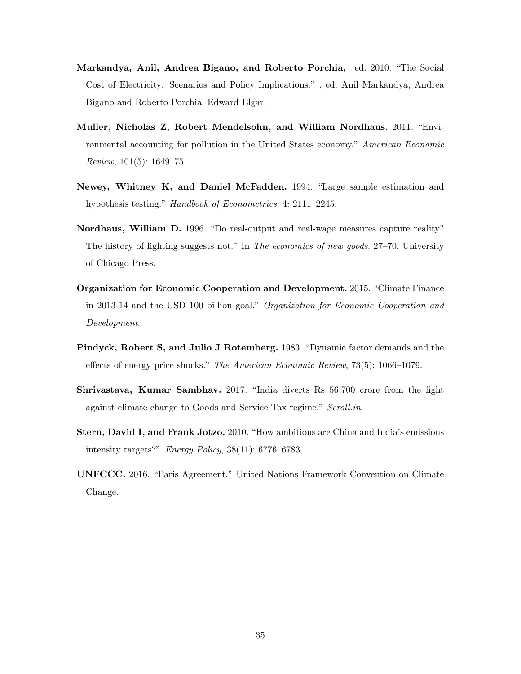- Markandya, Anil, Andrea Bigano, and Roberto Porchia, ed. 2010. "The Social Cost of Electricity: Scenarios and Policy Implications." , ed. Anil Markandya, Andrea Bigano and Roberto Porchia. Edward Elgar.
- Muller, Nicholas Z, Robert Mendelsohn, and William Nordhaus. 2011. "Environmental accounting for pollution in the United States economy." American Economic Review, 101(5): 1649–75.
- Newey, Whitney K, and Daniel McFadden. 1994. "Large sample estimation and hypothesis testing." *Handbook of Econometrics*, 4: 2111–2245.
- Nordhaus, William D. 1996. "Do real-output and real-wage measures capture reality? The history of lighting suggests not." In The economics of new goods. 27–70. University of Chicago Press.
- Organization for Economic Cooperation and Development. 2015. "Climate Finance in 2013-14 and the USD 100 billion goal." Organization for Economic Cooperation and Development.
- Pindyck, Robert S, and Julio J Rotemberg. 1983. "Dynamic factor demands and the effects of energy price shocks." The American Economic Review, 73(5): 1066–1079.
- Shrivastava, Kumar Sambhav. 2017. "India diverts Rs 56,700 crore from the fight against climate change to Goods and Service Tax regime." Scroll.in.
- Stern, David I, and Frank Jotzo. 2010. "How ambitious are China and India's emissions intensity targets?" Energy Policy, 38(11): 6776–6783.
- UNFCCC. 2016. "Paris Agreement." United Nations Framework Convention on Climate Change.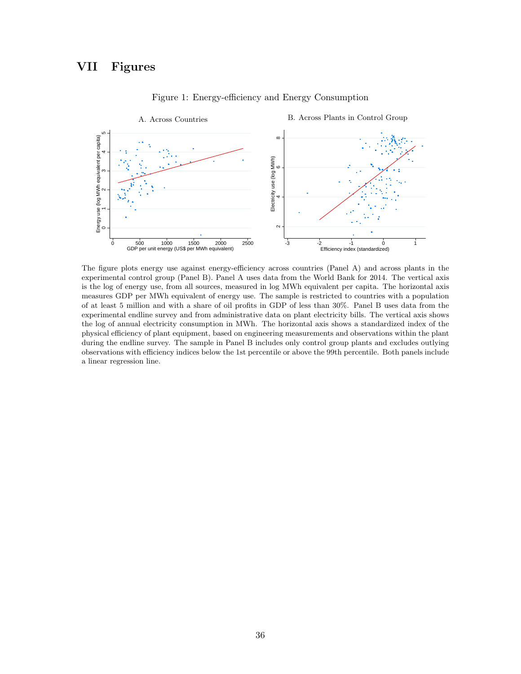

Figure 1: Energy-efficiency and Energy Consumption

The figure plots energy use against energy-efficiency across countries (Panel A) and across plants in the experimental control group (Panel B). Panel A uses data from the World Bank for 2014. The vertical axis is the log of energy use, from all sources, measured in log MWh equivalent per capita. The horizontal axis measures GDP per MWh equivalent of energy use. The sample is restricted to countries with a population of at least 5 million and with a share of oil profits in GDP of less than 30%. Panel B uses data from the experimental endline survey and from administrative data on plant electricity bills. The vertical axis shows the log of annual electricity consumption in MWh. The horizontal axis shows a standardized index of the physical efficiency of plant equipment, based on engineering measurements and observations within the plant during the endline survey. The sample in Panel B includes only control group plants and excludes outlying observations with efficiency indices below the 1st percentile or above the 99th percentile. Both panels include a linear regression line.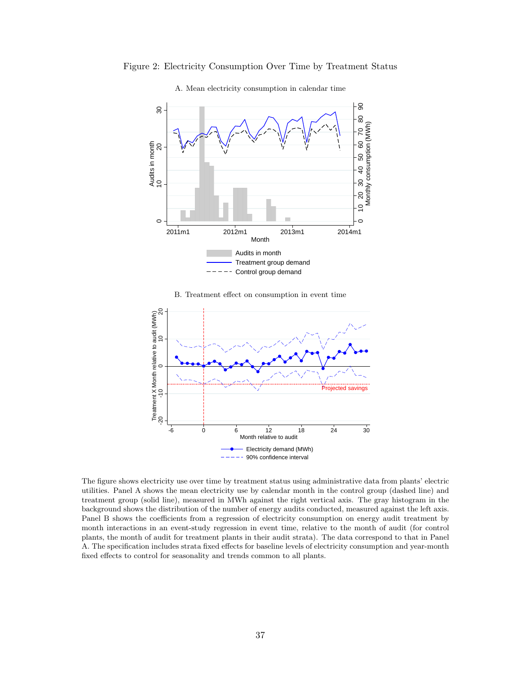

Figure 2: Electricity Consumption Over Time by Treatment Status

A. Mean electricity consumption in calendar time

B. Treatment effect on consumption in event time



The figure shows electricity use over time by treatment status using administrative data from plants' electric utilities. Panel A shows the mean electricity use by calendar month in the control group (dashed line) and treatment group (solid line), measured in MWh against the right vertical axis. The gray histogram in the background shows the distribution of the number of energy audits conducted, measured against the left axis. Panel B shows the coefficients from a regression of electricity consumption on energy audit treatment by month interactions in an event-study regression in event time, relative to the month of audit (for control plants, the month of audit for treatment plants in their audit strata). The data correspond to that in Panel A. The specification includes strata fixed effects for baseline levels of electricity consumption and year-month fixed effects to control for seasonality and trends common to all plants.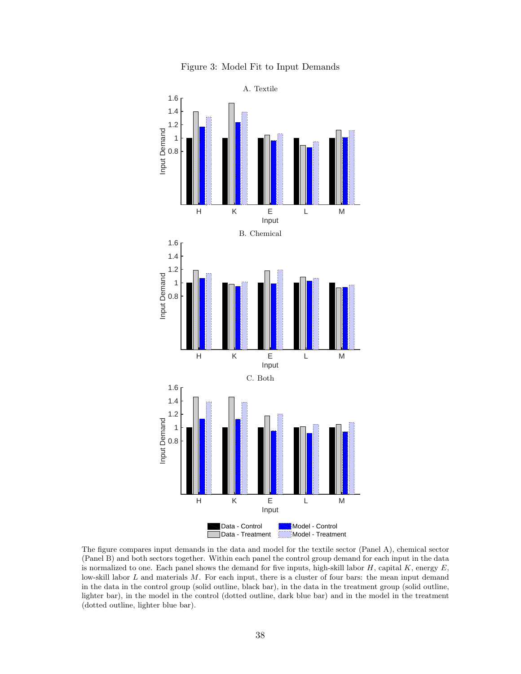

Figure 3: Model Fit to Input Demands

The figure compares input demands in the data and model for the textile sector (Panel A), chemical sector (Panel B) and both sectors together. Within each panel the control group demand for each input in the data is normalized to one. Each panel shows the demand for five inputs, high-skill labor  $H$ , capital  $K$ , energy  $E$ , low-skill labor  $L$  and materials  $M$ . For each input, there is a cluster of four bars: the mean input demand in the data in the control group (solid outline, black bar), in the data in the treatment group (solid outline, lighter bar), in the model in the control (dotted outline, dark blue bar) and in the model in the treatment (dotted outline, lighter blue bar).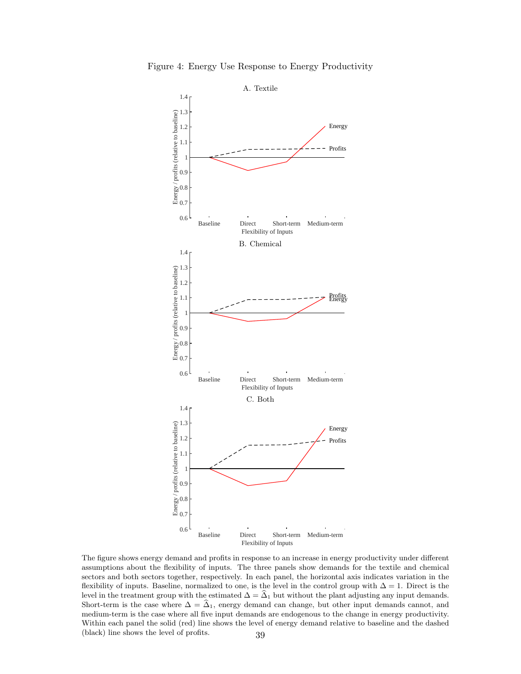

Figure 4: Energy Use Response to Energy Productivity

The figure shows energy demand and profits in response to an increase in energy productivity under different assumptions about the flexibility of inputs. The three panels show demands for the textile and chemical sectors and both sectors together, respectively. In each panel, the horizontal axis indicates variation in the flexibility of inputs. Baseline, normalized to one, is the level in the control group with  $\Delta = 1$ . Direct is the level in the treatment group with the estimated  $\Delta = \hat{\Delta}_1$  but without the plant adjusting any input demands. Short-term is the case where  $\Delta = \hat{\Delta}_1$ , energy demand can change, but other input demands cannot, and medium-term is the case where all five input demands are endogenous to the change in energy productivity. Within each panel the solid (red) line shows the level of energy demand relative to baseline and the dashed (black) line shows the level of profits. 39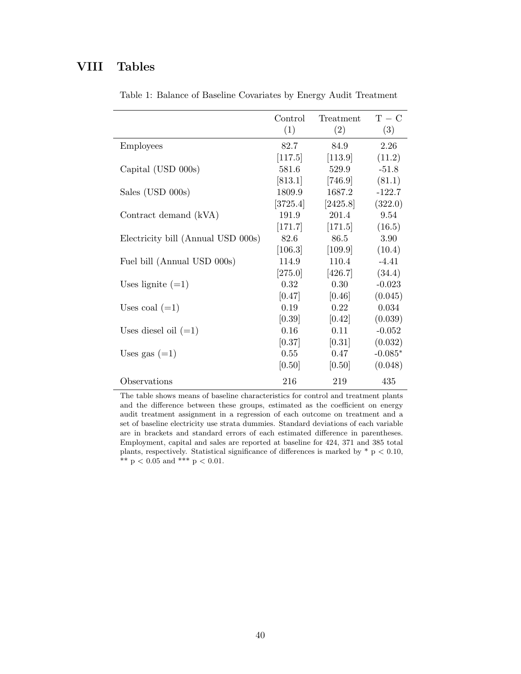## VIII Tables

|                                    | Control    | Treatment | $T - C$   |
|------------------------------------|------------|-----------|-----------|
|                                    | (1)        | (2)       | (3)       |
| <b>Employees</b>                   | 82.7       | 84.9      | 2.26      |
|                                    | [117.5]    | [113.9]   | (11.2)    |
| Capital (USD 000s)                 | 581.6      | 529.9     | $-51.8$   |
|                                    | [813.1]    | $[746.9]$ | (81.1)    |
| Sales (USD 000s)                   | 1809.9     | 1687.2    | $-122.7$  |
|                                    | $[3725.4]$ | [2425.8]  | (322.0)   |
| Contract demand (kVA)              | 191.9      | 201.4     | 9.54      |
|                                    | [171.7]    | [171.5]   | (16.5)    |
| Electricity bill (Annual USD 000s) | 82.6       | 86.5      | 3.90      |
|                                    | [106.3]    | [109.9]   | (10.4)    |
| Fuel bill (Annual USD 000s)        | 114.9      | 110.4     | $-4.41$   |
|                                    | [275.0]    | [426.7]   | (34.4)    |
| Uses lignite $(=1)$                | 0.32       | 0.30      | $-0.023$  |
|                                    | [0.47]     | [0.46]    | (0.045)   |
| Uses coal $(=1)$                   | 0.19       | 0.22      | 0.034     |
|                                    | [0.39]     | [0.42]    | (0.039)   |
| Uses diesel oil $(=1)$             | 0.16       | 0.11      | $-0.052$  |
|                                    | [0.37]     | [0.31]    | (0.032)   |
| Uses gas $(=1)$                    | 0.55       | 0.47      | $-0.085*$ |
|                                    | [0.50]     | [0.50]    | (0.048)   |
| Observations                       | 216        | 219       | 435       |

Table 1: Balance of Baseline Covariates by Energy Audit Treatment

The table shows means of baseline characteristics for control and treatment plants and the difference between these groups, estimated as the coefficient on energy audit treatment assignment in a regression of each outcome on treatment and a set of baseline electricity use strata dummies. Standard deviations of each variable are in brackets and standard errors of each estimated difference in parentheses. Employment, capital and sales are reported at baseline for 424, 371 and 385 total plants, respectively. Statistical significance of differences is marked by  $*$  p < 0.10, \*\* p < 0.05 and \*\*\* p < 0.01.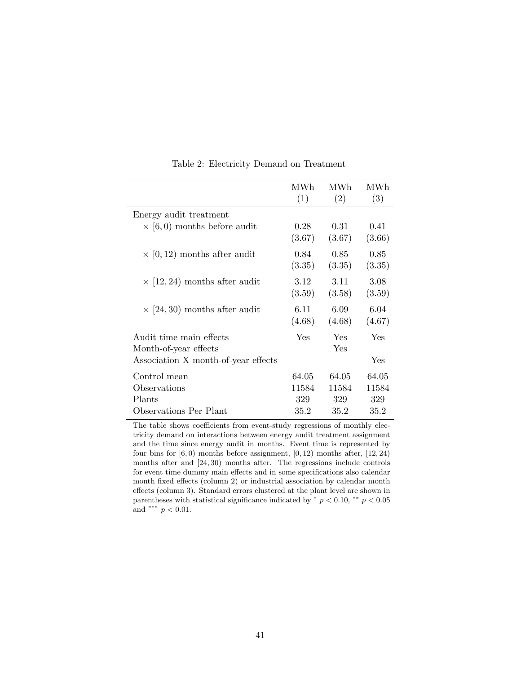|                                                                                         | MWh      | MWh        | MWh        |
|-----------------------------------------------------------------------------------------|----------|------------|------------|
|                                                                                         | (1)      | (2)        | (3)        |
| Energy audit treatment                                                                  |          |            |            |
| $\times$ [6,0] months before audit                                                      | 0.28     | 0.31       | 0.41       |
|                                                                                         | (3.67)   | (3.67)     | (3.66)     |
| $\times$ [0, 12) months after audit                                                     | 0.84     | 0.85       | 0.85       |
|                                                                                         | (3.35)   | (3.35)     | (3.35)     |
| $\times$ [12, 24) months after audit                                                    | 3.12     | 3.11       | 3.08       |
|                                                                                         | (3.59)   | (3.58)     | (3.59)     |
| $\times$ [24,30) months after audit                                                     | 6.11     | 6.09       | 6.04       |
|                                                                                         | (4.68)   | (4.68)     | (4.67)     |
| Audit time main effects<br>Month-of-year effects<br>Association X month-of-year effects | Yes      | Yes<br>Yes | Yes<br>Yes |
| Control mean                                                                            | 64.05    | 64.05      | 64.05      |
| Observations                                                                            | 11584    | 11584      | 11584      |
| Plants                                                                                  | 329      | 329        | 329        |
| Observations Per Plant                                                                  | $35.2\,$ | 35.2       | 35.2       |

Table 2: Electricity Demand on Treatment

The table shows coefficients from event-study regressions of monthly electricity demand on interactions between energy audit treatment assignment and the time since energy audit in months. Event time is represented by four bins for  $[6, 0)$  months before assignment,  $[0, 12)$  months after,  $[12, 24)$ months after and [24, 30) months after. The regressions include controls for event time dummy main effects and in some specifications also calendar month fixed effects (column 2) or industrial association by calendar month effects (column 3). Standard errors clustered at the plant level are shown in parentheses with statistical significance indicated by  $p < 0.10$ , \*\*  $p < 0.05$ and \*\*\*  $p < 0.01$ .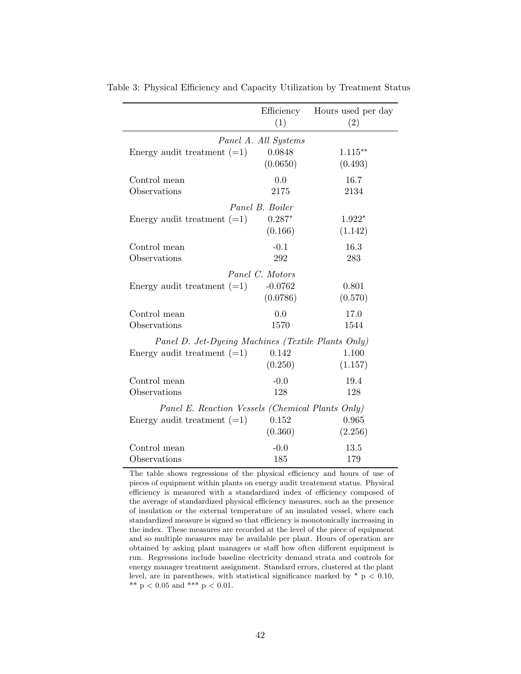|                                                    | Efficiency<br>(1)    | Hours used per day<br>(2) |
|----------------------------------------------------|----------------------|---------------------------|
|                                                    | Panel A. All Systems |                           |
| Energy audit treatment $(=1)$                      | 0.0848               | $1.115***$                |
|                                                    | (0.0650)             | (0.493)                   |
| Control mean                                       | 0.0                  | 16.7                      |
| Observations                                       | 2175                 | 2134                      |
|                                                    | Panel B. Boiler      |                           |
| Energy audit treatment $(=1)$                      | $0.287*$             | $1.922*$                  |
|                                                    | (0.166)              | (1.142)                   |
| Control mean                                       | $-0.1$               | 16.3                      |
| Observations                                       | 292                  | 283                       |
|                                                    | Panel C. Motors      |                           |
| Energy audit treatment $(=1)$                      | $-0.0762$            | 0.801                     |
|                                                    | (0.0786)             | (0.570)                   |
| Control mean                                       | 0.0                  | 17.0                      |
| Observations                                       | 1570                 | 1544                      |
| Panel D. Jet-Dyeing Machines (Textile Plants Only) |                      |                           |
| Energy audit treatment $(=1)$                      | 0.142                | 1.100                     |
|                                                    | (0.250)              | (1.157)                   |
| Control mean                                       | $-0.0$               | 19.4                      |
| Observations                                       | 128                  | 128                       |
| Panel E. Reaction Vessels (Chemical Plants Only)   |                      |                           |
| Energy audit treatment $(=1)$                      | 0.152                | 0.965                     |
|                                                    | (0.360)              | (2.256)                   |
| Control mean                                       | $-0.0$               | 13.5                      |
| Observations                                       | 185                  | 179                       |

Table 3: Physical Efficiency and Capacity Utilization by Treatment Status

The table shows regressions of the physical efficiency and hours of use of pieces of equipment within plants on energy audit treatement status. Physical efficiency is measured with a standardized index of efficiency composed of the average of standardized physical efficiency measures, such as the presence of insulation or the external temperature of an insulated vessel, where each standardized measure is signed so that efficiency is monotonically increasing in the index. These measures are recorded at the level of the piece of equipment and so multiple measures may be available per plant. Hours of operation are obtained by asking plant managers or staff how often different equipment is run. Regressions include baseline electricity demand strata and controls for energy manager treatment assignment. Standard errors, clustered at the plant level, are in parentheses, with statistical significance marked by  $*$  p < 0.10, \*\*  $p < 0.05$  and \*\*\*  $p < 0.01$ .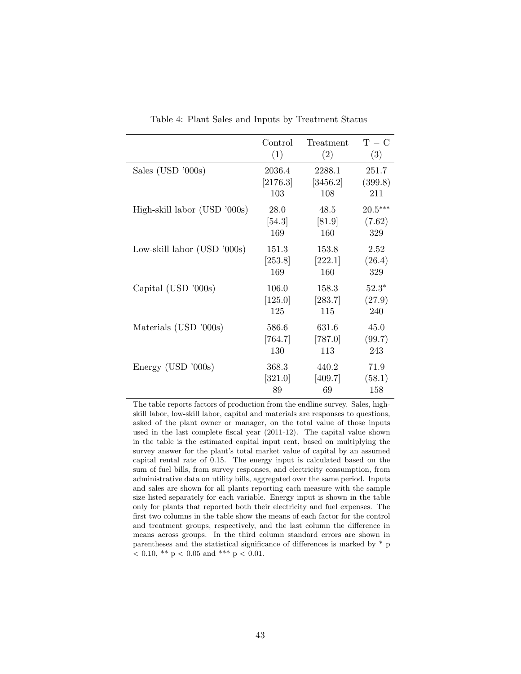|                              | Control                | Treatment | $T - C$   |
|------------------------------|------------------------|-----------|-----------|
|                              | (1)                    | (2)       | (3)       |
| Sales (USD '000s)            | 2036.4                 | 2288.1    | 251.7     |
|                              | $\left[ 2176.3\right]$ | [3456.2]  | (399.8)   |
|                              | 103                    | 108       | 211       |
| High-skill labor (USD '000s) | 28.0                   | 48.5      | $20.5***$ |
|                              | [54.3]                 | [81.9]    | (7.62)    |
|                              | 169                    | 160       | 329       |
| Low-skill labor $(USD'000s)$ | 151.3                  | 153.8     | 2.52      |
|                              | [253.8]                | [222.1]   | (26.4)    |
|                              | 169                    | 160       | 329       |
| Capital (USD $'000s$ )       | 106.0                  | 158.3     | $52.3*$   |
|                              | [125.0]                | [283.7]   | (27.9)    |
|                              | 125                    | 115       | 240       |
| Materials (USD '000s)        | 586.6                  | 631.6     | 45.0      |
|                              | [764.7]                | $[787.0]$ | (99.7)    |
|                              | 130                    | 113       | 243       |
| Energy (USD $'000s$ )        | 368.3                  | 440.2     | 71.9      |
|                              | [321.0]                | [409.7]   | (58.1)    |
|                              | 89                     | 69        | 158       |

Table 4: Plant Sales and Inputs by Treatment Status

The table reports factors of production from the endline survey. Sales, highskill labor, low-skill labor, capital and materials are responses to questions, asked of the plant owner or manager, on the total value of those inputs used in the last complete fiscal year (2011-12). The capital value shown in the table is the estimated capital input rent, based on multiplying the survey answer for the plant's total market value of capital by an assumed capital rental rate of 0.15. The energy input is calculated based on the sum of fuel bills, from survey responses, and electricity consumption, from administrative data on utility bills, aggregated over the same period. Inputs and sales are shown for all plants reporting each measure with the sample size listed separately for each variable. Energy input is shown in the table only for plants that reported both their electricity and fuel expenses. The first two columns in the table show the means of each factor for the control and treatment groups, respectively, and the last column the difference in means across groups. In the third column standard errors are shown in parentheses and the statistical significance of differences is marked by \* p  $< 0.10,$  \*\* p  $< 0.05$  and \*\*\* p  $< 0.01$ .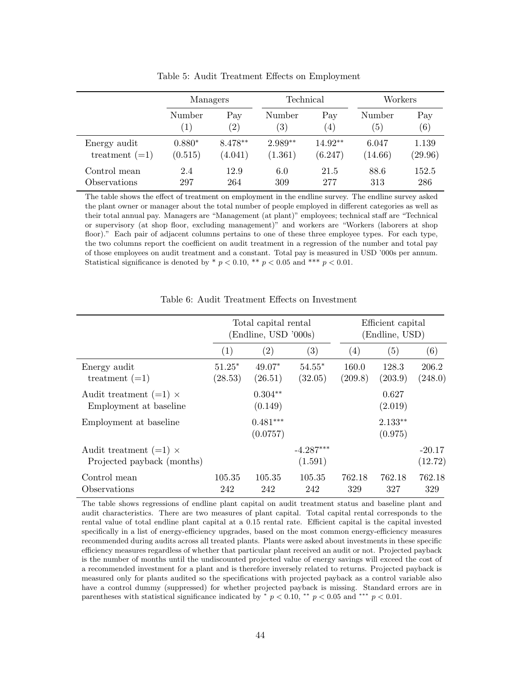|                  | Managers         |                   |                   | Technical         |                  | Workers |  |
|------------------|------------------|-------------------|-------------------|-------------------|------------------|---------|--|
|                  | Number           | Pay               | Number            | Pay               | Number           | Pay     |  |
|                  | $\left(1\right)$ | $\left( 2\right)$ | $\left( 3\right)$ | $\left( 4\right)$ | $\left(5\right)$ | (6)     |  |
| Energy audit     | $0.880*$         | $8.478**$         | $2.989**$         | $14.92**$         | 6.047            | 1.139   |  |
| treatment $(=1)$ | (0.515)          | (4.041)           | (1.361)           | (6.247)           | (14.66)          | (29.96) |  |
| Control mean     | 2.4              | 12.9              | 6.0               | 21.5              | 88.6             | 152.5   |  |
| Observations     | 297              | 264               | 309               | 277               | 313              | 286     |  |

Table 5: Audit Treatment Effects on Employment

The table shows the effect of treatment on employment in the endline survey. The endline survey asked the plant owner or manager about the total number of people employed in different categories as well as their total annual pay. Managers are "Management (at plant)" employees; technical staff are "Technical or supervisory (at shop floor, excluding management)" and workers are "Workers (laborers at shop floor)." Each pair of adjacent columns pertains to one of these three employee types. For each type, the two columns report the coefficient on audit treatment in a regression of the number and total pay of those employees on audit treatment and a constant. Total pay is measured in USD '000s per annum. Statistical significance is denoted by  $*$   $p < 0.10$ ,  $**$   $p < 0.05$  and  $***$   $p < 0.01$ .

|                                                             | Total capital rental<br>(Endline, USD '000s) |                        |                        |                  | Efficient capital<br>(Endline, USD) |                     |
|-------------------------------------------------------------|----------------------------------------------|------------------------|------------------------|------------------|-------------------------------------|---------------------|
|                                                             | (1)                                          | (2)                    | (3)                    | (4)              | (5)                                 | (6)                 |
| Energy audit<br>treatment $(=1)$                            | $51.25*$<br>(28.53)                          | $49.07*$<br>(26.51)    | $54.55*$<br>(32.05)    | 160.0<br>(209.8) | 128.3<br>(203.9)                    | 206.2<br>(248.0)    |
| Audit treatment $(=1) \times$<br>Employment at baseline     |                                              | $0.304**$<br>(0.149)   |                        |                  | 0.627<br>(2.019)                    |                     |
| Employment at baseline                                      |                                              | $0.481***$<br>(0.0757) |                        |                  | $2.133**$<br>(0.975)                |                     |
| Audit treatment $(=1) \times$<br>Projected payback (months) |                                              |                        | $-4.287***$<br>(1.591) |                  |                                     | $-20.17$<br>(12.72) |
| Control mean<br>Observations                                | 105.35<br>242                                | 105.35<br>242          | 105.35<br>242          | 762.18<br>329    | 762.18<br>327                       | 762.18<br>329       |

Table 6: Audit Treatment Effects on Investment

The table shows regressions of endline plant capital on audit treatment status and baseline plant and audit characteristics. There are two measures of plant capital. Total capital rental corresponds to the rental value of total endline plant capital at a 0.15 rental rate. Efficient capital is the capital invested specifically in a list of energy-efficiency upgrades, based on the most common energy-efficiency measures recommended during audits across all treated plants. Plants were asked about investments in these specific efficiency measures regardless of whether that particular plant received an audit or not. Projected payback is the number of months until the undiscounted projected value of energy savings will exceed the cost of a recommended investment for a plant and is therefore inversely related to returns. Projected payback is measured only for plants audited so the specifications with projected payback as a control variable also have a control dummy (suppressed) for whether projected payback is missing. Standard errors are in parentheses with statistical significance indicated by  $\degree p < 0.10$ ,  $\degree\degree p < 0.05$  and  $\degree\degree\degree p < 0.01$ .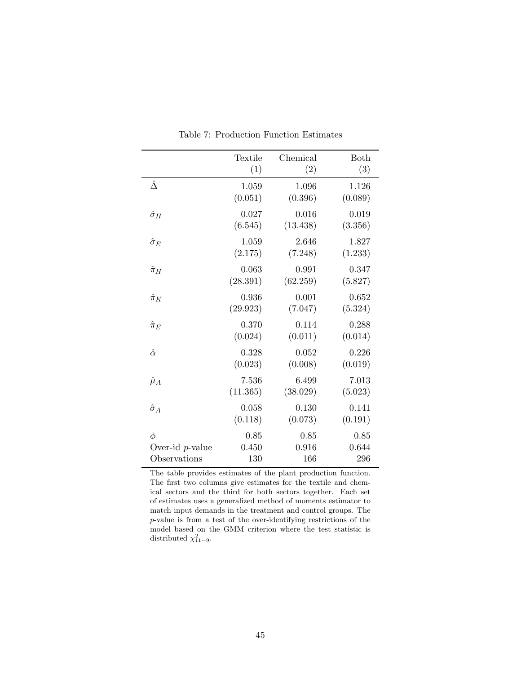|                    | Textile  | Chemical | Both    |
|--------------------|----------|----------|---------|
|                    | (1)      | (2)      | (3)     |
| $\hat{\Delta}$     | 1.059    | 1.096    | 1.126   |
|                    | (0.051)  | (0.396)  | (0.089) |
| $\hat{\sigma}_H$   | 0.027    | 0.016    | 0.019   |
|                    | (6.545)  | (13.438) | (3.356) |
| $\hat{\sigma}_E$   | 1.059    | 2.646    | 1.827   |
|                    | (2.175)  | (7.248)  | (1.233) |
| $\hat{\pi}_H$      | 0.063    | 0.991    | 0.347   |
|                    | (28.391) | (62.259) | (5.827) |
| $\hat{\pi}_K$      | 0.936    | 0.001    | 0.652   |
|                    | (29.923) | (7.047)  | (5.324) |
| $\hat{\pi}_E$      | 0.370    | 0.114    | 0.288   |
|                    | (0.024)  | (0.011)  | (0.014) |
| $\hat{\alpha}$     | 0.328    | 0.052    | 0.226   |
|                    | (0.023)  | (0.008)  | (0.019) |
| $\hat{\mu}_A$      | 7.536    | 6.499    | 7.013   |
|                    | (11.365) | (38.029) | (5.023) |
| $\hat{\sigma}_A$   | 0.058    | 0.130    | 0.141   |
|                    | (0.118)  | (0.073)  | (0.191) |
| $\phi$             | 0.85     | 0.85     | 0.85    |
| Over-id $p$ -value | 0.450    | 0.916    | 0.644   |
| Observations       | 130      | 166      | 296     |

Table 7: Production Function Estimates

The table provides estimates of the plant production function. The first two columns give estimates for the textile and chemical sectors and the third for both sectors together. Each set of estimates uses a generalized method of moments estimator to match input demands in the treatment and control groups. The p-value is from a test of the over-identifying restrictions of the model based on the GMM criterion where the test statistic is distributed  $\chi^2_{11-9}$ .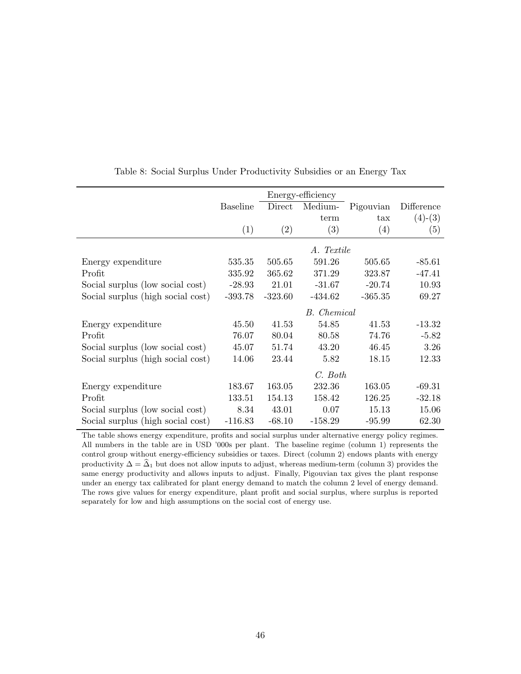|                                   | Energy-efficiency |           |                    |              |            |
|-----------------------------------|-------------------|-----------|--------------------|--------------|------------|
|                                   | <b>Baseline</b>   | Direct    | Medium-            | Pigouvian    | Difference |
|                                   |                   |           | term               | $\text{tax}$ | $(4)-(3)$  |
|                                   | (1)               | (2)       | (3)                | (4)          | (5)        |
|                                   |                   |           | A. Textile         |              |            |
| Energy expenditure                | 535.35            | 505.65    | 591.26             | 505.65       | $-85.61$   |
| Profit                            | 335.92            | 365.62    | 371.29             | 323.87       | $-47.41$   |
| Social surplus (low social cost)  | $-28.93$          | 21.01     | $-31.67$           | $-20.74$     | 10.93      |
| Social surplus (high social cost) | $-393.78$         | $-323.60$ | $-434.62$          | $-365.35$    | 69.27      |
|                                   |                   |           | <b>B.</b> Chemical |              |            |
| Energy expenditure                | 45.50             | 41.53     | 54.85              | 41.53        | $-13.32$   |
| Profit                            | 76.07             | 80.04     | 80.58              | 74.76        | $-5.82$    |
| Social surplus (low social cost)  | 45.07             | 51.74     | 43.20              | 46.45        | 3.26       |
| Social surplus (high social cost) | 14.06             | 23.44     | 5.82               | 18.15        | 12.33      |
|                                   |                   |           | $C.$ Both          |              |            |
| Energy expenditure                | 183.67            | 163.05    | 232.36             | 163.05       | $-69.31$   |
| Profit                            | 133.51            | 154.13    | 158.42             | 126.25       | $-32.18$   |
| Social surplus (low social cost)  | 8.34              | 43.01     | 0.07               | 15.13        | 15.06      |
| Social surplus (high social cost) | $-116.83$         | $-68.10$  | $-158.29$          | $-95.99$     | 62.30      |

#### Table 8: Social Surplus Under Productivity Subsidies or an Energy Tax

The table shows energy expenditure, profits and social surplus under alternative energy policy regimes. All numbers in the table are in USD '000s per plant. The baseline regime (column 1) represents the control group without energy-efficiency subsidies or taxes. Direct (column 2) endows plants with energy productivity  $\Delta = \hat{\Delta}_1$  but does not allow inputs to adjust, whereas medium-term (column 3) provides the same energy productivity and allows inputs to adjust. Finally, Pigouvian tax gives the plant response under an energy tax calibrated for plant energy demand to match the column 2 level of energy demand. The rows give values for energy expenditure, plant profit and social surplus, where surplus is reported separately for low and high assumptions on the social cost of energy use.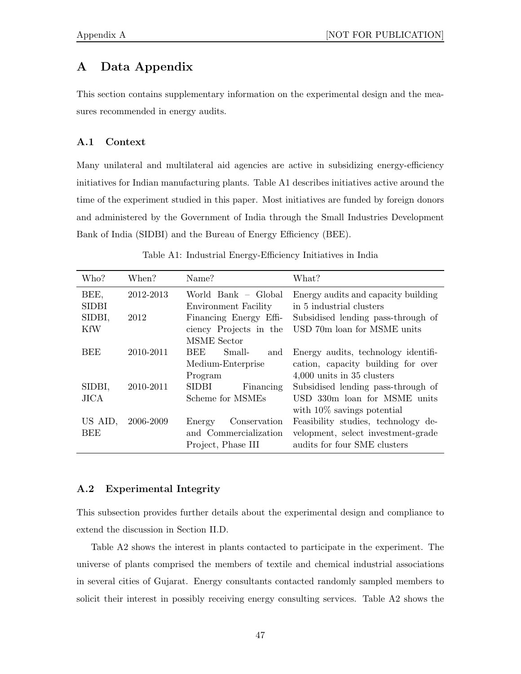## A Data Appendix

This section contains supplementary information on the experimental design and the measures recommended in energy audits.

#### A.1 Context

Many unilateral and multilateral aid agencies are active in subsidizing energy-efficiency initiatives for Indian manufacturing plants. Table A1 describes initiatives active around the time of the experiment studied in this paper. Most initiatives are funded by foreign donors and administered by the Government of India through the Small Industries Development Bank of India (SIDBI) and the Bureau of Energy Efficiency (BEE).

| Who?         | When?     | Name?                  | What?                               |
|--------------|-----------|------------------------|-------------------------------------|
| BEE,         | 2012-2013 | World Bank – Global    | Energy audits and capacity building |
| <b>SIDBI</b> |           | Environment Facility   | in 5 industrial clusters            |
| SIDBI,       | 2012      | Financing Energy Effi- | Subsidised lending pass-through of  |
| <b>KfW</b>   |           | ciency Projects in the | USD 70m loan for MSME units         |
|              |           | <b>MSME</b> Sector     |                                     |
| <b>BEE</b>   | 2010-2011 | BEE<br>Small-<br>and   | Energy audits, technology identifi- |
|              |           | Medium-Enterprise      | cation, capacity building for over  |
|              |           | Program                | $4,000$ units in 35 clusters        |
| SIDBI,       | 2010-2011 | SIDBI<br>Financing     | Subsidised lending pass-through of  |
| <b>JICA</b>  |           | Scheme for MSMEs       | USD 330m loan for MSME units        |
|              |           |                        | with $10\%$ savings potential       |
| US AID,      | 2006-2009 | Conservation<br>Energy | Feasibility studies, technology de- |
| <b>BEE</b>   |           | and Commercialization  | velopment, select investment-grade  |
|              |           | Project, Phase III     | audits for four SME clusters        |
|              |           |                        |                                     |

Table A1: Industrial Energy-Efficiency Initiatives in India

### A.2 Experimental Integrity

This subsection provides further details about the experimental design and compliance to extend the discussion in Section II.D.

Table A2 shows the interest in plants contacted to participate in the experiment. The universe of plants comprised the members of textile and chemical industrial associations in several cities of Gujarat. Energy consultants contacted randomly sampled members to solicit their interest in possibly receiving energy consulting services. Table A2 shows the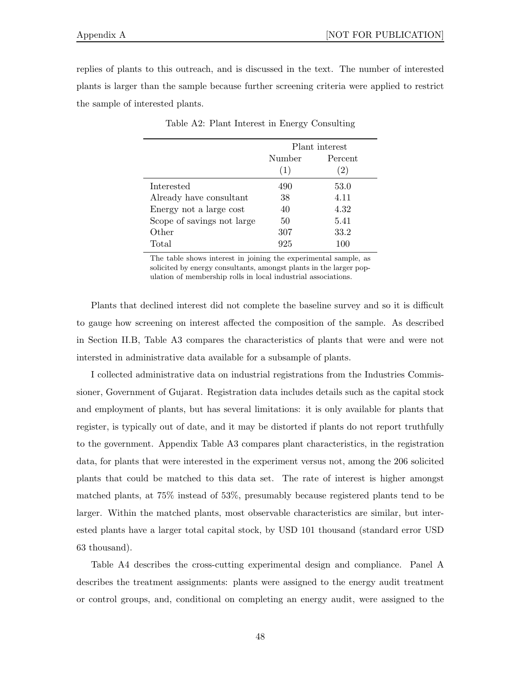replies of plants to this outreach, and is discussed in the text. The number of interested plants is larger than the sample because further screening criteria were applied to restrict the sample of interested plants.

|                            | Plant interest    |      |  |
|----------------------------|-------------------|------|--|
|                            | Number<br>Percent |      |  |
|                            | (1)               | (2)  |  |
| Interested                 | 490               | 53.0 |  |
| Already have consultant    | 38                | 4.11 |  |
| Energy not a large cost    | 40                | 4.32 |  |
| Scope of savings not large | 50                | 5.41 |  |
| Other                      | 307               | 33.2 |  |
| Total                      | 925               | 100  |  |

Table A2: Plant Interest in Energy Consulting

The table shows interest in joining the experimental sample, as solicited by energy consultants, amongst plants in the larger population of membership rolls in local industrial associations.

Plants that declined interest did not complete the baseline survey and so it is difficult to gauge how screening on interest affected the composition of the sample. As described in Section II.B, Table A3 compares the characteristics of plants that were and were not intersted in administrative data available for a subsample of plants.

I collected administrative data on industrial registrations from the Industries Commissioner, Government of Gujarat. Registration data includes details such as the capital stock and employment of plants, but has several limitations: it is only available for plants that register, is typically out of date, and it may be distorted if plants do not report truthfully to the government. Appendix Table A3 compares plant characteristics, in the registration data, for plants that were interested in the experiment versus not, among the 206 solicited plants that could be matched to this data set. The rate of interest is higher amongst matched plants, at 75% instead of 53%, presumably because registered plants tend to be larger. Within the matched plants, most observable characteristics are similar, but interested plants have a larger total capital stock, by USD 101 thousand (standard error USD 63 thousand).

Table A4 describes the cross-cutting experimental design and compliance. Panel A describes the treatment assignments: plants were assigned to the energy audit treatment or control groups, and, conditional on completing an energy audit, were assigned to the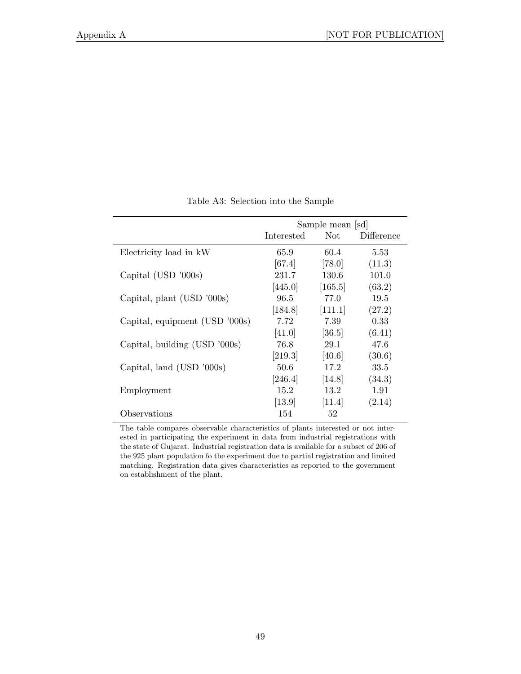|                                | Sample mean [sd] |         |            |  |  |
|--------------------------------|------------------|---------|------------|--|--|
|                                | Interested       | Not.    | Difference |  |  |
| Electricity load in kW         | 65.9             | 60.4    | 5.53       |  |  |
|                                | [67.4]           | [78.0]  | (11.3)     |  |  |
| Capital (USD '000s)            | 231.7            | 130.6   | 101.0      |  |  |
|                                | [445.0]          | [165.5] | (63.2)     |  |  |
| Capital, plant (USD '000s)     | 96.5             | 77.0    | 19.5       |  |  |
|                                | [184.8]          | [111.1] | (27.2)     |  |  |
| Capital, equipment (USD '000s) | 7.72             | 7.39    | 0.33       |  |  |
|                                | [41.0]           | [36.5]  | (6.41)     |  |  |
| Capital, building (USD '000s)  | 76.8             | 29.1    | 47.6       |  |  |
|                                | [219.3]          | [40.6]  | (30.6)     |  |  |
| Capital, land (USD '000s)      | 50.6             | 17.2    | 33.5       |  |  |
|                                | [246.4]          | [14.8]  | (34.3)     |  |  |
| Employment                     | 15.2             | 13.2    | 1.91       |  |  |
|                                | [13.9]           | [11.4]  | (2.14)     |  |  |
| Observations                   | 154              | 52      |            |  |  |

Table A3: Selection into the Sample

The table compares observable characteristics of plants interested or not interested in participating the experiment in data from industrial registrations with the state of Gujarat. Industrial registration data is available for a subset of 206 of the 925 plant population fo the experiment due to partial registration and limited matching. Registration data gives characteristics as reported to the government on establishment of the plant.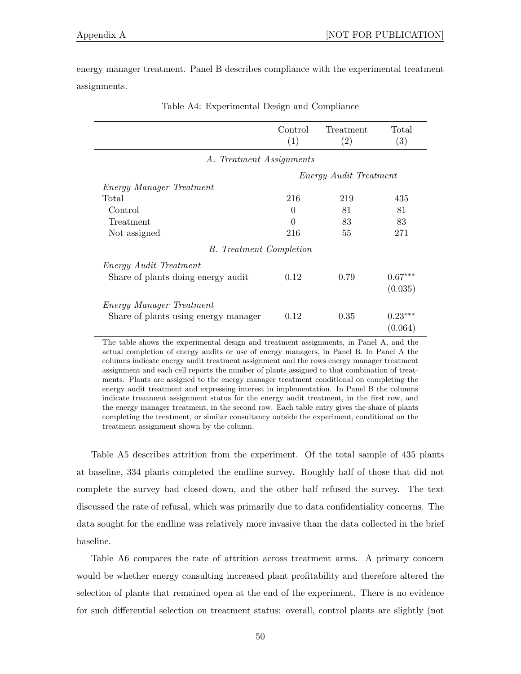energy manager treatment. Panel B describes compliance with the experimental treatment assignments.

|                                      | Control<br>(1) | Treatment<br>(2)       | Total<br>(3) |  |  |  |
|--------------------------------------|----------------|------------------------|--------------|--|--|--|
| A. Treatment Assignments             |                |                        |              |  |  |  |
|                                      |                | Energy Audit Treatment |              |  |  |  |
| <i>Energy Manager Treatment</i>      |                |                        |              |  |  |  |
| Total                                | 216            | 219                    | 435          |  |  |  |
| Control                              | $\theta$       | 81                     | 81           |  |  |  |
| Treatment                            | $\Omega$       | 83                     | 83           |  |  |  |
| Not assigned                         | 216            | 55                     | 271          |  |  |  |
| <b>B.</b> Treatment Completion       |                |                        |              |  |  |  |
| <i>Energy Audit Treatment</i>        |                |                        |              |  |  |  |
| Share of plants doing energy audit   | 0.12           | 0.79                   | $0.67***$    |  |  |  |
|                                      |                |                        | (0.035)      |  |  |  |
| Energy Manager Treatment             |                |                        |              |  |  |  |
| Share of plants using energy manager | 0.12           | 0.35                   | $0.23***$    |  |  |  |
|                                      |                |                        | (0.064)      |  |  |  |

Table A4: Experimental Design and Compliance

The table shows the experimental design and treatment assignments, in Panel A, and the actual completion of energy audits or use of energy managers, in Panel B. In Panel A the columns indicate energy audit treatment assignment and the rows energy manager treatment assignment and each cell reports the number of plants assigned to that combination of treatments. Plants are assigned to the energy manager treatment conditional on completing the energy audit treatment and expressing interest in implementation. In Panel B the columns indicate treatment assignment status for the energy audit treatment, in the first row, and the energy manager treatment, in the second row. Each table entry gives the share of plants completing the treatment, or similar consultancy outside the experiment, conditional on the treatment assignment shown by the column.

Table A5 describes attrition from the experiment. Of the total sample of 435 plants at baseline, 334 plants completed the endline survey. Roughly half of those that did not complete the survey had closed down, and the other half refused the survey. The text discussed the rate of refusal, which was primarily due to data confidentiality concerns. The data sought for the endline was relatively more invasive than the data collected in the brief baseline.

Table A6 compares the rate of attrition across treatment arms. A primary concern would be whether energy consulting increased plant profitability and therefore altered the selection of plants that remained open at the end of the experiment. There is no evidence for such differential selection on treatment status: overall, control plants are slightly (not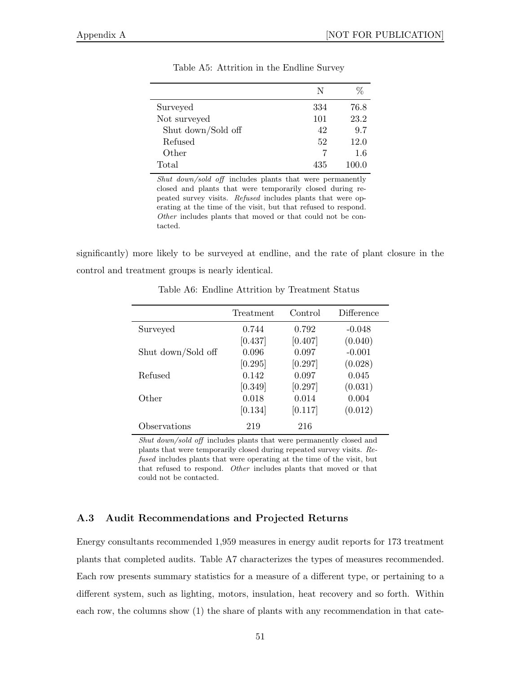|                    | N   | $\%$  |
|--------------------|-----|-------|
| Surveyed           | 334 | 76.8  |
| Not surveyed       | 101 | 23.2  |
| Shut down/Sold off | 42  | 9.7   |
| Refused            | 52  | 12.0  |
| Other              |     | 1.6   |
| Total              | 435 | 100.0 |

Table A5: Attrition in the Endline Survey

Shut down/sold off includes plants that were permanently closed and plants that were temporarily closed during repeated survey visits. Refused includes plants that were operating at the time of the visit, but that refused to respond. Other includes plants that moved or that could not be contacted.

significantly) more likely to be surveyed at endline, and the rate of plant closure in the control and treatment groups is nearly identical.

|                    | Treatment | Control | Difference |
|--------------------|-----------|---------|------------|
| Surveyed           | 0.744     | 0.792   | $-0.048$   |
|                    | [0.437]   | [0.407] | (0.040)    |
| Shut down/Sold off | 0.096     | 0.097   | $-0.001$   |
|                    | [0.295]   | [0.297] | (0.028)    |
| Refused            | 0.142     | 0.097   | 0.045      |
|                    | [0.349]   | [0.297] | (0.031)    |
| Other              | 0.018     | 0.014   | 0.004      |
|                    | [0.134]   | [0.117] | (0.012)    |
| Observations       | 219       | 216     |            |

Table A6: Endline Attrition by Treatment Status

Shut down/sold off includes plants that were permanently closed and plants that were temporarily closed during repeated survey visits. Refused includes plants that were operating at the time of the visit, but that refused to respond. Other includes plants that moved or that could not be contacted.

#### A.3 Audit Recommendations and Projected Returns

Energy consultants recommended 1,959 measures in energy audit reports for 173 treatment plants that completed audits. Table A7 characterizes the types of measures recommended. Each row presents summary statistics for a measure of a different type, or pertaining to a different system, such as lighting, motors, insulation, heat recovery and so forth. Within each row, the columns show (1) the share of plants with any recommendation in that cate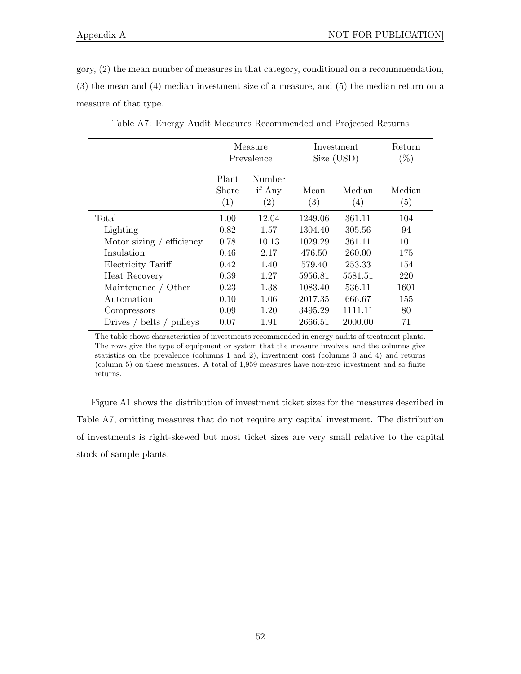gory, (2) the mean number of measures in that category, conditional on a reconmmendation, (3) the mean and (4) median investment size of a measure, and (5) the median return on a measure of that type.

|                             | Measure<br>Prevalence |                                       | Investment<br>Size (USD) |               | Return<br>$(\%)$ |
|-----------------------------|-----------------------|---------------------------------------|--------------------------|---------------|------------------|
|                             | Plant<br>Share<br>(1) | Number<br>if Any<br>$\left( 2\right)$ | Mean<br>(3)              | Median<br>(4) | Median<br>(5)    |
| Total                       | 1.00                  | 12.04                                 | 1249.06                  | 361.11        | 104              |
| Lighting                    | 0.82                  | 1.57                                  | 1304.40                  | 305.56        | 94               |
| Motor sizing $/$ efficiency | 0.78                  | 10.13                                 | 1029.29                  | 361.11        | 101              |
| Insulation                  | 0.46                  | 2.17                                  | 476.50                   | 260.00        | 175              |
| Electricity Tariff          | 0.42                  | 1.40                                  | 579.40                   | 253.33        | 154              |
| Heat Recovery               | 0.39                  | 1.27                                  | 5956.81                  | 5581.51       | 220              |
| Maintenance / Other         | 0.23                  | 1.38                                  | 1083.40                  | 536.11        | 1601             |
| Automation                  | 0.10                  | 1.06                                  | 2017.35                  | 666.67        | 155              |
| Compressors                 | 0.09                  | 1.20                                  | 3495.29                  | 1111.11       | 80               |
| Drives / belts / pulleys    | 0.07                  | 1.91                                  | 2666.51                  | 2000.00       | 71               |

Table A7: Energy Audit Measures Recommended and Projected Returns

The table shows characteristics of investments recommended in energy audits of treatment plants. The rows give the type of equipment or system that the measure involves, and the columns give statistics on the prevalence (columns 1 and 2), investment cost (columns 3 and 4) and returns (column 5) on these measures. A total of 1,959 measures have non-zero investment and so finite returns.

Figure A1 shows the distribution of investment ticket sizes for the measures described in Table A7, omitting measures that do not require any capital investment. The distribution of investments is right-skewed but most ticket sizes are very small relative to the capital stock of sample plants.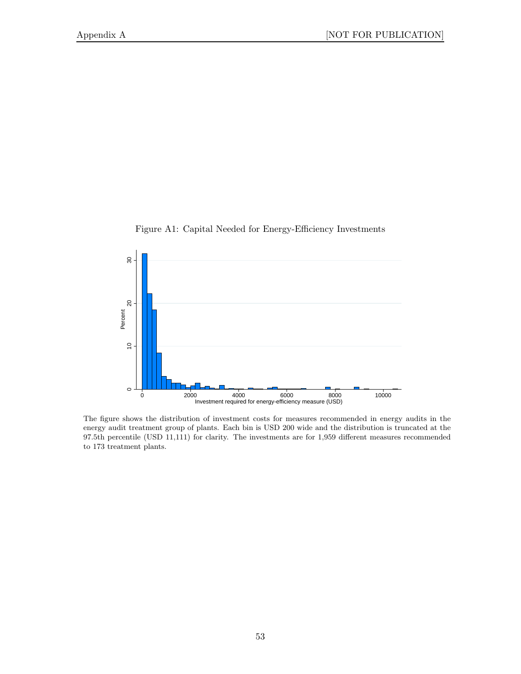Figure A1: Capital Needed for Energy-Efficiency Investments



The figure shows the distribution of investment costs for measures recommended in energy audits in the energy audit treatment group of plants. Each bin is USD 200 wide and the distribution is truncated at the 97.5th percentile (USD 11,111) for clarity. The investments are for 1,959 different measures recommended to 173 treatment plants.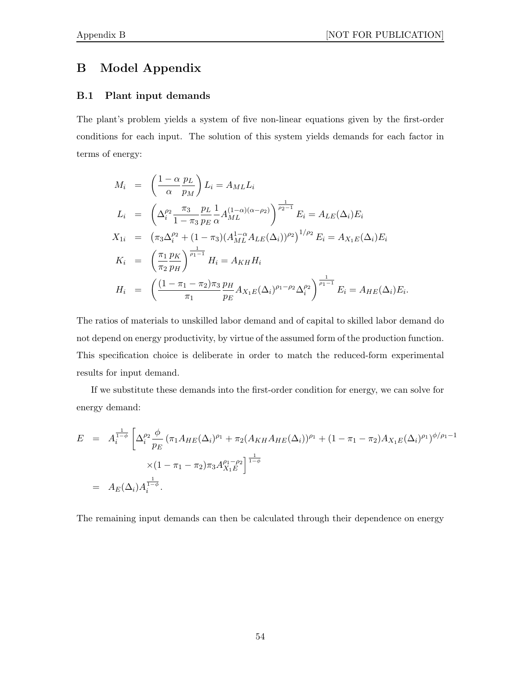## B Model Appendix

#### B.1 Plant input demands

The plant's problem yields a system of five non-linear equations given by the first-order conditions for each input. The solution of this system yields demands for each factor in terms of energy:

$$
M_{i} = \left(\frac{1-\alpha}{\alpha} \frac{p_{L}}{p_{M}}\right) L_{i} = A_{ML} L_{i}
$$
  
\n
$$
L_{i} = \left(\Delta_{i}^{\rho_{2}} \frac{\pi_{3}}{1-\pi_{3}} \frac{p_{L}}{p_{E}} \frac{1}{\alpha} A_{ML}^{(1-\alpha)(\alpha-\rho_{2})}\right)^{\frac{1}{\rho_{2}-1}} E_{i} = A_{LE}(\Delta_{i}) E_{i}
$$
  
\n
$$
X_{1i} = (\pi_{3} \Delta_{i}^{\rho_{2}} + (1-\pi_{3}) (A_{ML}^{1-\alpha} A_{LE}(\Delta_{i}))^{\rho_{2}})^{1/\rho_{2}} E_{i} = A_{X_{1}E}(\Delta_{i}) E_{i}
$$
  
\n
$$
K_{i} = \left(\frac{\pi_{1}}{\pi_{2}} \frac{p_{K}}{p_{H}}\right)^{\frac{1}{\rho_{1}-1}} H_{i} = A_{KH} H_{i}
$$
  
\n
$$
H_{i} = \left(\frac{(1-\pi_{1}-\pi_{2})\pi_{3}}{\pi_{1}} \frac{p_{H}}{p_{E}} A_{X_{1}E}(\Delta_{i})^{\rho_{1}-\rho_{2}} \Delta_{i}^{\rho_{2}}\right)^{\frac{1}{\rho_{1}-1}} E_{i} = A_{HE}(\Delta_{i}) E_{i}.
$$

The ratios of materials to unskilled labor demand and of capital to skilled labor demand do not depend on energy productivity, by virtue of the assumed form of the production function. This specification choice is deliberate in order to match the reduced-form experimental results for input demand.

If we substitute these demands into the first-order condition for energy, we can solve for energy demand:

$$
E = A_i^{\frac{1}{1-\phi}} \left[ \Delta_i^{\rho_2} \frac{\phi}{p_E} (\pi_1 A_{HE}(\Delta_i)^{\rho_1} + \pi_2 (A_{KH} A_{HE}(\Delta_i))^{\rho_1} + (1 - \pi_1 - \pi_2) A_{X_1E}(\Delta_i)^{\rho_1} \right]^{\phi/\rho_1 - 1}
$$
  
 
$$
\times (1 - \pi_1 - \pi_2) \pi_3 A_{X_1E}^{\rho_1 - \rho_2} \right]^{\frac{1}{1-\phi}}
$$
  
=  $A_E(\Delta_i) A_i^{\frac{1}{1-\phi}}.$ 

The remaining input demands can then be calculated through their dependence on energy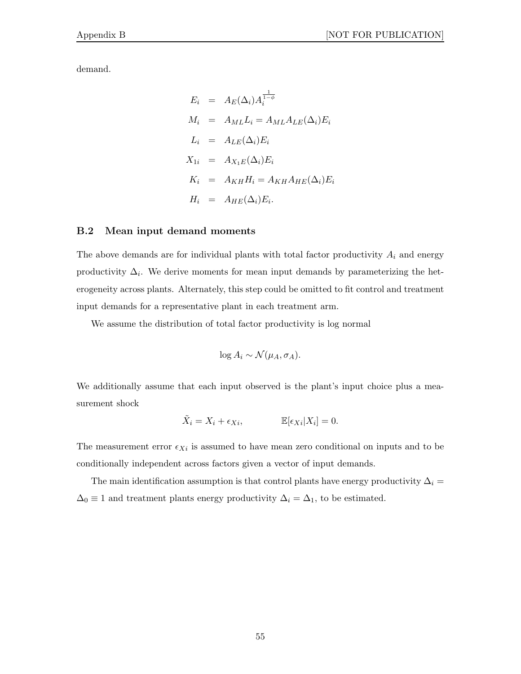demand.

$$
E_i = A_E(\Delta_i) A_i^{\frac{1}{1-\phi}}
$$
  
\n
$$
M_i = A_{ML} L_i = A_{ML} A_{LE}(\Delta_i) E_i
$$
  
\n
$$
L_i = A_{LE}(\Delta_i) E_i
$$
  
\n
$$
X_{1i} = A_{X_1E}(\Delta_i) E_i
$$
  
\n
$$
K_i = A_{KH} H_i = A_{KH} A_{HE}(\Delta_i) E_i
$$
  
\n
$$
H_i = A_{HE}(\Delta_i) E_i.
$$

#### B.2 Mean input demand moments

The above demands are for individual plants with total factor productivity  $A_i$  and energy productivity  $\Delta_i$ . We derive moments for mean input demands by parameterizing the heterogeneity across plants. Alternately, this step could be omitted to fit control and treatment input demands for a representative plant in each treatment arm.

We assume the distribution of total factor productivity is log normal

$$
\log A_i \sim \mathcal{N}(\mu_A, \sigma_A).
$$

We additionally assume that each input observed is the plant's input choice plus a measurement shock

$$
\tilde{X}_i = X_i + \epsilon_{Xi}, \qquad \mathbb{E}[\epsilon_{Xi}|X_i] = 0.
$$

The measurement error  $\epsilon_{Xi}$  is assumed to have mean zero conditional on inputs and to be conditionally independent across factors given a vector of input demands.

The main identification assumption is that control plants have energy productivity  $\Delta_i =$  $\Delta_0 \equiv 1$  and treatment plants energy productivity  $\Delta_i = \Delta_1$ , to be estimated.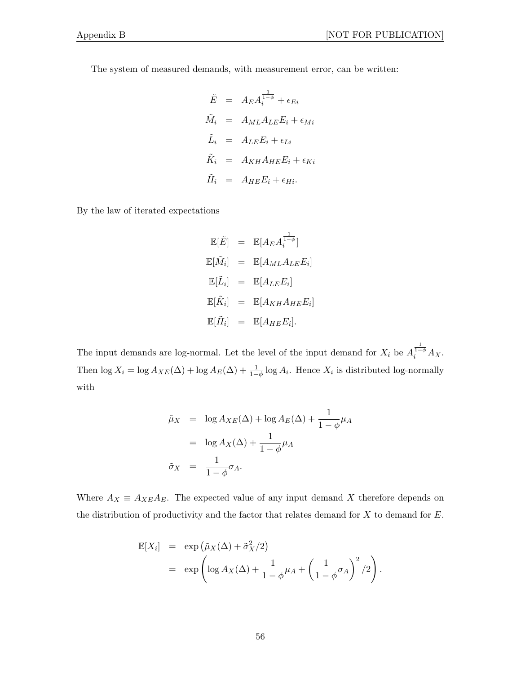The system of measured demands, with measurement error, can be written:

$$
\tilde{E} = A_E A_i^{\frac{1}{1-\phi}} + \epsilon_{Ei}
$$
\n
$$
\tilde{M}_i = A_{ML} A_{LE} E_i + \epsilon_{Mi}
$$
\n
$$
\tilde{L}_i = A_{LE} E_i + \epsilon_{Li}
$$
\n
$$
\tilde{K}_i = A_{KH} A_{HE} E_i + \epsilon_{Ki}
$$
\n
$$
\tilde{H}_i = A_{HE} E_i + \epsilon_{Hi}.
$$

By the law of iterated expectations

$$
\mathbb{E}[\tilde{E}] = \mathbb{E}[A_{E}A_{i}^{\frac{1}{1-\phi}}]
$$
  

$$
\mathbb{E}[\tilde{M}_{i}] = \mathbb{E}[A_{ML}A_{LE}E_{i}]
$$
  

$$
\mathbb{E}[\tilde{L}_{i}] = \mathbb{E}[A_{LE}E_{i}]
$$
  

$$
\mathbb{E}[\tilde{K}_{i}] = \mathbb{E}[A_{KH}A_{HE}E_{i}]
$$
  

$$
\mathbb{E}[\tilde{H}_{i}] = \mathbb{E}[A_{HE}E_{i}].
$$

The input demands are log-normal. Let the level of the input demand for  $X_i$  be  $A_i^{\frac{1}{1-\phi}} A_X$ . Then  $\log X_i = \log A_{XE}(\Delta) + \log A_E(\Delta) + \frac{1}{1-\phi} \log A_i$ . Hence  $X_i$  is distributed log-normally with

$$
\tilde{\mu}_X = \log A_{XE}(\Delta) + \log A_E(\Delta) + \frac{1}{1 - \phi} \mu_A
$$
  
=  $\log A_X(\Delta) + \frac{1}{1 - \phi} \mu_A$   
 $\tilde{\sigma}_X = \frac{1}{1 - \phi} \sigma_A.$ 

Where  $A_X \equiv A_{XE}A_E$ . The expected value of any input demand X therefore depends on the distribution of productivity and the factor that relates demand for  $X$  to demand for  $E$ .

$$
\mathbb{E}[X_i] = \exp(\tilde{\mu}_X(\Delta) + \tilde{\sigma}_X^2/2)
$$
  
= 
$$
\exp\left(\log A_X(\Delta) + \frac{1}{1-\phi}\mu_A + \left(\frac{1}{1-\phi}\sigma_A\right)^2/2\right).
$$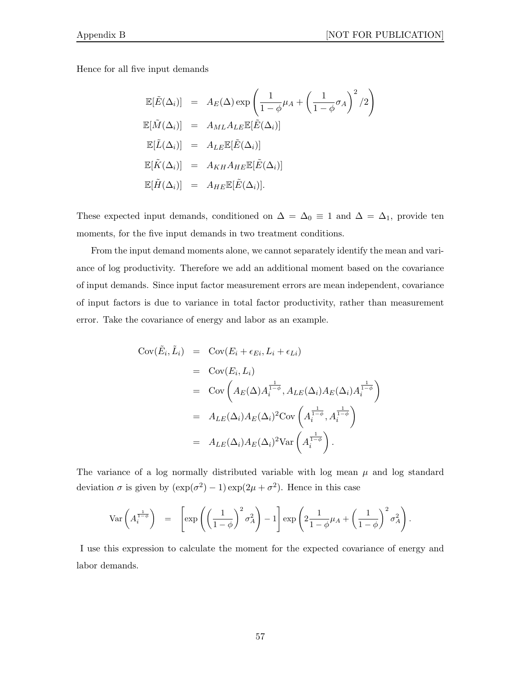Hence for all five input demands

$$
\mathbb{E}[\tilde{E}(\Delta_i)] = A_E(\Delta) \exp\left(\frac{1}{1-\phi}\mu_A + \left(\frac{1}{1-\phi}\sigma_A\right)^2/2\right)
$$
  
\n
$$
\mathbb{E}[\tilde{M}(\Delta_i)] = A_{ML} A_{LE} \mathbb{E}[\tilde{E}(\Delta_i)]
$$
  
\n
$$
\mathbb{E}[\tilde{L}(\Delta_i)] = A_{LE} \mathbb{E}[\tilde{E}(\Delta_i)]
$$
  
\n
$$
\mathbb{E}[\tilde{K}(\Delta_i)] = A_{KH} A_{HE} \mathbb{E}[\tilde{E}(\Delta_i)]
$$
  
\n
$$
\mathbb{E}[\tilde{H}(\Delta_i)] = A_{HE} \mathbb{E}[\tilde{E}(\Delta_i)].
$$

These expected input demands, conditioned on  $\Delta = \Delta_0 \equiv 1$  and  $\Delta = \Delta_1$ , provide ten moments, for the five input demands in two treatment conditions.

From the input demand moments alone, we cannot separately identify the mean and variance of log productivity. Therefore we add an additional moment based on the covariance of input demands. Since input factor measurement errors are mean independent, covariance of input factors is due to variance in total factor productivity, rather than measurement error. Take the covariance of energy and labor as an example.

$$
Cov(\tilde{E}_i, \tilde{L}_i) = Cov(E_i + \epsilon_{E_i}, L_i + \epsilon_{Li})
$$
  
\n
$$
= Cov(E_i, L_i)
$$
  
\n
$$
= Cov\left(A_E(\Delta)A_i^{\frac{1}{1-\phi}}, A_{LE}(\Delta_i)A_E(\Delta_i)A_i^{\frac{1}{1-\phi}}\right)
$$
  
\n
$$
= A_{LE}(\Delta_i)A_E(\Delta_i)^2 Cov\left(A_i^{\frac{1}{1-\phi}}, A_i^{\frac{1}{1-\phi}}\right)
$$
  
\n
$$
= A_{LE}(\Delta_i)A_E(\Delta_i)^2 Var\left(A_i^{\frac{1}{1-\phi}}\right).
$$

The variance of a log normally distributed variable with log mean  $\mu$  and log standard deviation  $\sigma$  is given by  $(\exp(\sigma^2) - 1) \exp((2\mu + \sigma^2))$ . Hence in this case

$$
\text{Var}\left(A_i^{\frac{1}{1-\phi}}\right) = \left[\exp\left(\left(\frac{1}{1-\phi}\right)^2 \sigma_A^2\right) - 1\right] \exp\left(2\frac{1}{1-\phi}\mu_A + \left(\frac{1}{1-\phi}\right)^2 \sigma_A^2\right).
$$

I use this expression to calculate the moment for the expected covariance of energy and labor demands.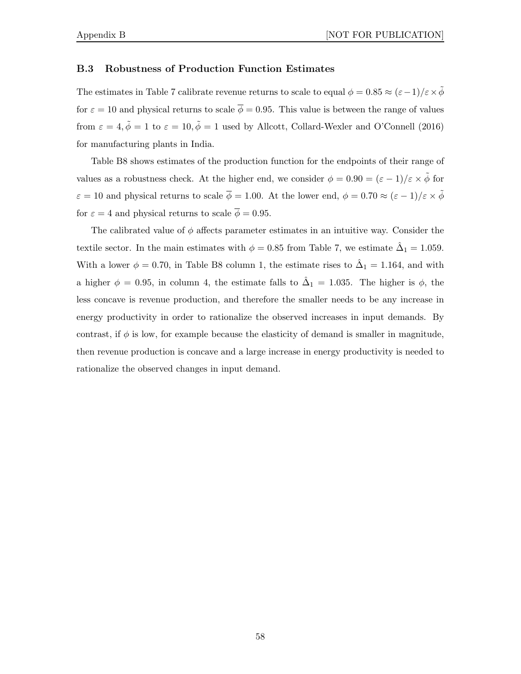#### B.3 Robustness of Production Function Estimates

The estimates in Table 7 calibrate revenue returns to scale to equal  $\phi = 0.85 \approx (\varepsilon - 1)/\varepsilon \times \tilde{\phi}$ for  $\varepsilon = 10$  and physical returns to scale  $\overline{\phi} = 0.95$ . This value is between the range of values from  $\varepsilon = 4, \tilde{\phi} = 1$  to  $\varepsilon = 10, \tilde{\phi} = 1$  used by Allcott, Collard-Wexler and O'Connell (2016) for manufacturing plants in India.

Table B8 shows estimates of the production function for the endpoints of their range of values as a robustness check. At the higher end, we consider  $\phi = 0.90 = (\varepsilon - 1)/\varepsilon \times \tilde{\phi}$  for  $\varepsilon = 10$  and physical returns to scale  $\overline{\phi} = 1.00$ . At the lower end,  $\phi = 0.70 \approx (\varepsilon - 1)/\varepsilon \times \tilde{\phi}$ for  $\varepsilon = 4$  and physical returns to scale  $\overline{\phi} = 0.95$ .

The calibrated value of  $\phi$  affects parameter estimates in an intuitive way. Consider the textile sector. In the main estimates with  $\phi = 0.85$  from Table 7, we estimate  $\hat{\Delta}_1 = 1.059$ . With a lower  $\phi = 0.70$ , in Table B8 column 1, the estimate rises to  $\hat{\Delta}_1 = 1.164$ , and with a higher  $\phi = 0.95$ , in column 4, the estimate falls to  $\hat{\Delta}_1 = 1.035$ . The higher is  $\phi$ , the less concave is revenue production, and therefore the smaller needs to be any increase in energy productivity in order to rationalize the observed increases in input demands. By contrast, if  $\phi$  is low, for example because the elasticity of demand is smaller in magnitude, then revenue production is concave and a large increase in energy productivity is needed to rationalize the observed changes in input demand.